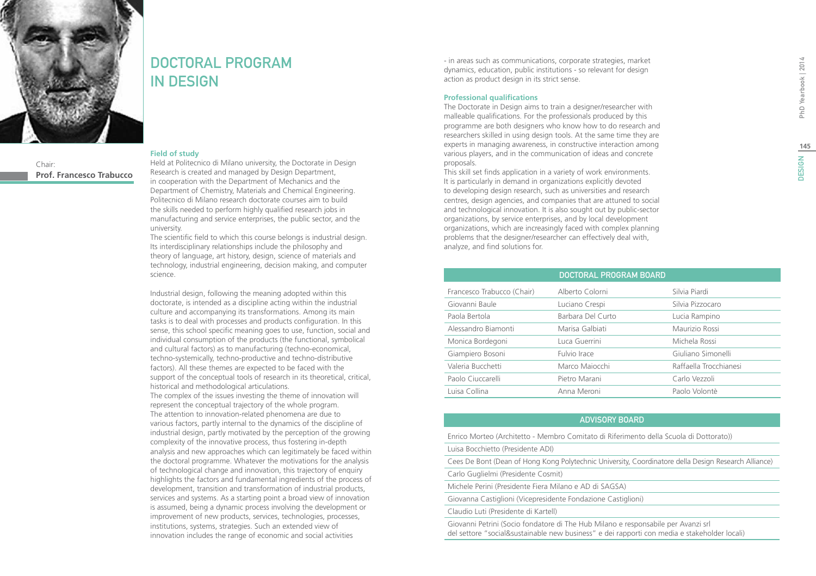# **DESIGN**



Chair: **Prof. Francesco Trabucco**

### DOCTORAL PROGRAM in Design

#### **Field of study**

Held at Politecnico di Milano university, the Doctorate in Design Research is created and managed by Design Department, in cooperation with the Department of Mechanics and the Department of Chemistry, Materials and Chemical Engineering. Politecnico di Milano research doctorate courses aim to build the skills needed to perform highly qualified research jobs in manufacturing and service enterprises, the public sector, and the university.

The scientific field to which this course belongs is industrial design. Its interdisciplinary relationships include the philosophy and theory of language, art history, design, science of materials and technology, industrial engineering, decision making, and computer science.

Industrial design, following the meaning adopted within this doctorate, is intended as a discipline acting within the industrial culture and accompanying its transformations. Among its main tasks is to deal with processes and products configuration. In this sense, this school specific meaning goes to use, function, social and individual consumption of the products (the functional, symbolical and cultural factors) as to manufacturing (techno-economical, techno-systemically, techno-productive and techno-distributive factors). All these themes are expected to be faced with the support of the conceptual tools of research in its theoretical, critical, historical and methodological articulations.

The complex of the issues investing the theme of innovation will represent the conceptual trajectory of the whole program. The attention to innovation-related phenomena are due to various factors, partly internal to the dynamics of the discipline of industrial design, partly motivated by the perception of the growing complexity of the innovative process, thus fostering in-depth analysis and new approaches which can legitimately be faced within the doctoral programme. Whatever the motivations for the analysis of technological change and innovation, this trajectory of enquiry highlights the factors and fundamental ingredients of the process of development, transition and transformation of industrial products, services and systems. As a starting point a broad view of innovation is assumed, being a dynamic process involving the development or improvement of new products, services, technologies, processes, institutions, systems, strategies. Such an extended view of innovation includes the range of economic and social activities

- in areas such as communications, corporate strategies, market dynamics, education, public institutions - so relevant for design action as product design in its strict sense.

#### **Professional qualifications**

The Doctorate in Design aims to train a designer/researcher with malleable qualifications. For the professionals produced by this programme are both designers who know how to do research and researchers skilled in using design tools. At the same time they are experts in managing awareness, in constructive interaction among various players, and in the communication of ideas and concrete proposals.

This skill set finds application in a variety of work environments. It is particularly in demand in organizations explicitly devoted to developing design research, such as universities and research centres, design agencies, and companies that are attuned to social and technological innovation. It is also sought out by public-sector organizations, by service enterprises, and by local development organizations, which are increasingly faced with complex planning problems that the designer/researcher can effectively deal with, analyze, and find solutions for.

|                            | DOCTORAL PROGRAM BOARD |                        |  |
|----------------------------|------------------------|------------------------|--|
| Francesco Trabucco (Chair) | Alberto Colorni        | Silvia Piardi          |  |
| Giovanni Baule             | Luciano Crespi         | Silvia Pizzocaro       |  |
| Paola Bertola              | Barbara Del Curto      | Lucia Rampino          |  |
| Alessandro Biamonti        | Marisa Galbiati        | Maurizio Rossi         |  |
| Monica Bordegoni           | Luca Guerrini          | Michela Rossi          |  |
| Giampiero Bosoni           | Fulvio Irace           | Giuliano Simonelli     |  |
| Valeria Bucchetti          | Marco Majocchi         | Raffaella Trocchianesi |  |
| Paolo Ciuccarelli          | Pietro Marani          | Carlo Vezzoli          |  |
| Luisa Collina              | Anna Meroni            | Paolo Volontè          |  |

#### Advisory Board

Enrico Morteo (Architetto - Membro Comitato di Riferimento della Scuola di Dottorato))

Luisa Bocchietto (Presidente ADI)

Cees De Bont (Dean of Hong Kong Polytechnic University, Coordinatore della Design Research Alliance)

Carlo Guglielmi (Presidente Cosmit)

Michele Perini (Presidente Fiera Milano e AD di SAGSA)

Giovanna Castiglioni (Vicepresidente Fondazione Castiglioni)

Claudio Luti (Presidente di Kartell)

Giovanni Petrini (Socio fondatore di The Hub Milano e responsabile per Avanzi srl del settore "social&sustainable new business" e dei rapporti con media e stakeholder locali)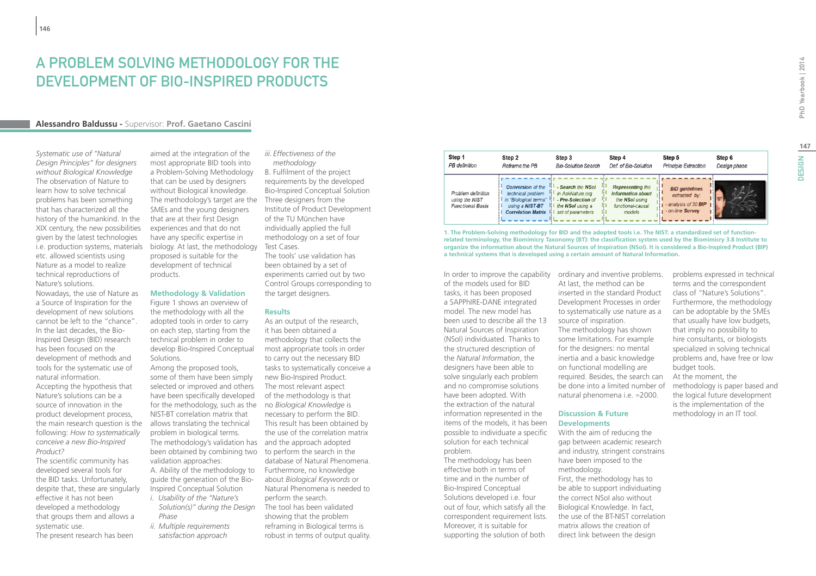### A PROBLEM SOLVING METHODOLOGY FOR THE DEVELOPMENT OF BIO-INSPIRED PRODUCTS

#### **Alessandro Baldussu -** Supervisor: **Prof. Gaetano Cascini**

*Systematic use of "Natural Design Principles" for designers without Biological Knowledge* The observation of Nature to learn how to solve technical problems has been something that has characterized all the history of the humankind. In the XIX century, the new possibilities given by the latest technologies i.e. production systems, materials etc. allowed scientists using Nature as a model to realize technical reproductions of Nature's solutions. Nowadays, the use of Nature as a Source of Inspiration for the development of new solutions cannot be left to the "chance". In the last decades, the Bio-Inspired Design (BID) research has been focused on the development of methods and tools for the systematic use of natural information. Accepting the hypothesis that Nature's solutions can be a source of innovation in the product development process, the main research question is the following: *How to systematically conceive a new Bio-Inspired Product?*

The scientific community has developed several tools for the BID tasks. Unfortunately, despite that, these are singularly effective it has not been developed a methodology that groups them and allows a systematic use.

The present research has been

aimed at the integration of the most appropriate BID tools into a Problem-Solving Methodology that can be used by designers without Biological knowledge. The methodology's target are the SMEs and the young designers that are at their first Design experiences and that do not have any specific expertise in biology. At last, the methodology proposed is suitable for the development of technical products.

#### **Methodology & Validation**

Figure 1 shows an overview of the methodology with all the adopted tools in order to carry on each step, starting from the technical problem in order to develop Bio-Inspired Conceptual Solutions.

Among the proposed tools, some of them have been simply selected or improved and others have been specifically developed for the methodology, such as the no *Biological Knowledge* is NIST-BT correlation matrix that allows translating the technical problem in biological terms. The methodology's validation has and the approach adopted been obtained by combining two to perform the search in the validation approaches:

A. Ability of the methodology to guide the generation of the Bio-Inspired Conceptual Solution

- *i. Usability of the "Nature's Solution(s)" during the Design Phase*
- *ii. Multiple requirements satisfaction approach*

### *iii. Effectiveness of the*

 *methodology* B. Fulfilment of the project requirements by the developed Bio-Inspired Conceptual Solution Three designers from the Institute of Product Development of the TU München have individually applied the full methodology on a set of four Test Cases. The tools' use validation has

been obtained by a set of experiments carried out by two Control Groups corresponding to the target designers.

#### **Results**

As an output of the research, it has been obtained a methodology that collects the most appropriate tools in order to carry out the necessary BID tasks to systematically conceive a new Bio-Inspired Product. The most relevant aspect of the methodology is that necessary to perform the BID. This result has been obtained by the use of the correlation matrix database of Natural Phenomena. Furthermore, no knowledge about *Biological Keywords* or Natural Phenomena is needed to perform the search. The tool has been validated showing that the problem reframing in Biological terms is robust in terms of output quality.

| Step 1                                                          | Step 2                                                                                                                        | Step 3                                                                                               | Step 4                                                                                        | Step 5                                                                           | Step 6       |
|-----------------------------------------------------------------|-------------------------------------------------------------------------------------------------------------------------------|------------------------------------------------------------------------------------------------------|-----------------------------------------------------------------------------------------------|----------------------------------------------------------------------------------|--------------|
| PB definition                                                   | Reframe the PB                                                                                                                | <b>Bio-Solution Search</b>                                                                           | Def. of Bio-Solution                                                                          | <b>Principle Extraction</b>                                                      | Design phase |
| Problem definition<br>using the NIST<br><b>Functional Basis</b> | <b>Conversion</b> of the<br>technical problem<br>in "Biological terms"  <br>using a NIST-BT<br>н<br><b>Correlation Matrix</b> | - Search the NSol<br>in AskNature.org<br>- Pre-Selection of<br>the NSol using a<br>set of parameters | <b>Representing the</b><br>information about<br>the NSol using<br>functional-causal<br>models | <b>BID</b> quidelines<br>extracted by:<br>analysis of 30 BIP<br>- on-line Survey |              |

**1. The Problem-Solving methodology for BID and the adopted tools i.e. The NIST: a standardized set of functionrelated terminology, the Biomimicry Taxonomy (BT): the classification system used by the Biomimicry 3.8 Institute to organize the information about the Natural Sources of Inspiration (NSoI). It is considered a Bio-Inspired Product (BIP) a technical systems that is developed using a certain amount of Natural Information.**

In order to improve the capability ordinary and inventive problems. of the models used for BID tasks, it has been proposed a SAPPhIRE-DANE integrated model. The new model has been used to describe all the 13 Natural Sources of Inspiration (NSoI) individuated. Thanks to the structured description of the *Natural Information*, the designers have been able to solve singularly each problem and no compromise solutions have been adopted. With the extraction of the natural information represented in the items of the models, it has been possible to individuate a specific solution for each technical problem. The methodology has been

effective both in terms of time and in the number of Bio-Inspired Conceptual Solutions developed i.e. four out of four, which satisfy all the correspondent requirement lists. Moreover, it is suitable for supporting the solution of both

At last, the method can be inserted in the standard Product Development Processes in order to systematically use nature as a source of inspiration. The methodology has shown some limitations. For example for the designers: no mental inertia and a basic knowledge on functional modelling are required. Besides, the search can be done into a limited number of natural phenomena i.e. ≈2000.

#### **Discussion & Future Developments**

With the aim of reducing the gap between academic research and industry, stringent constrains have been imposed to the methodology. First, the methodology has to be able to support individuating the correct NSoI also without Biological Knowledge. In fact, the use of the BT-NIST correlation matrix allows the creation of direct link between the design

problems expressed in technical terms and the correspondent class of "Nature's Solutions". Furthermore, the methodology can be adoptable by the SMEs that usually have low budgets, that imply no possibility to hire consultants, or biologists specialized in solving technical problems and, have free or low budget tools. At the moment, the

methodology is paper based and the logical future development is the implementation of the methodology in an IT tool.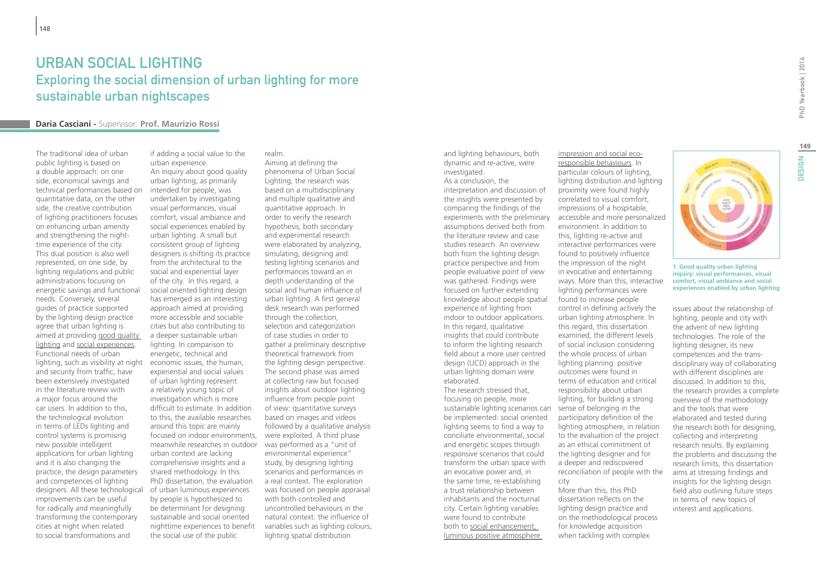### URBAN SOCIAL LIGHTING Exploring the social dimension of urban lighting for more sustainable urban nightscapes

#### **Daria Casciani -** Supervisor: **Prof. Maurizio Rossi**

The traditional idea of urban public lighting is based on a double approach: on one side, economical savings and technical performances based on quantitative data, on the other side, the creative contribution of lighting practitioners focuses on enhancing urban amenity and strengthening the nighttime experience of the city. This dual position is also well represented, on one side, by lighting regulations and public administrations focusing on energetic savings and functional needs. Conversely, several guides of practice supported by the lighting design practice agree that urban lighting is aimed at providing good quality lighting and social experiences. Functional needs of urban lighting, such as visibility at night and security from traffic, have been extensively investigated in the literature review with a major focus around the car users. In addition to this, the technological evolution in terms of LEDs lighting and control systems is promising new possible intelligent applications for urban lighting and it is also changing the practice, the design parameters and competences of lighting designers. All these technological improvements can be useful for radically and meaningfully transforming the contemporary cities at night when related to social transformations and

if adding a social value to the urban experience. An inquiry about good quality urban lighting, as primarily intended for people, was undertaken by investigating visual performances, visual comfort, visual ambiance and social experiences enabled by urban lighting. A small but consistent group of lighting designers is shifting its practice from the architectural to the social and experiential layer of the city. In this regard, a social oriented lighting design has emerged as an interesting approach aimed at providing more accessible and sociable cities but also contributing to a deeper sustainable urban lighting. In comparison to energetic, technical and economic issues, the human, experiential and social values of urban lighting represent a relatively young topic of investigation which is more difficult to estimate. In addition to this, the available researches around this topic are mainly focused on indoor environments, were exploited. A third phase meanwhile researches in outdoor was performed as a "unit of urban context are lacking comprehensive insights and a shared methodology. In this PhD dissertation, the evaluation of urban luminous experiences by people is hypothesized to be determinant for designing sustainable and social oriented nighttime experiences to benefit the social use of the public

realm. Aiming at defining the phenomena of Urban Social Lighting, the research was based on a multidisciplinary and multiple qualitative and quantitative approach. In order to verify the research hypothesis, both secondary and experimental research were elaborated by analyzing, simulating, designing and testing lighting scenarios and performances toward an in depth understanding of the social and human influence of urban lighting. A first general desk research was performed through the collection, selection and categorization of case studies in order to gather a preliminary descriptive theoretical framework from the lighting design perspective. The second phase was aimed at collecting raw but focused insights about outdoor lighting influence from people point of view: quantitative surveys based on images and videos followed by a qualitative analysis environmental experience" study, by designing lighting scenarios and performances in a real context. The exploration was focused on people appraisal with both controlled and uncontrolled behaviours in the natural context: the influence of variables such as lighting colours, lighting spatial distribution

and lighting behaviours, both dynamic and re-active, were investigated.

As a conclusion, the interpretation and discussion of the insights were presented by comparing the findings of the experiments with the preliminary assumptions derived both from the literature review and case studies research. An overview both from the lighting design practice perspective and from people evaluative point of view was gathered. Findings were focused on further extending knowledge about people spatial experience of lighting from indoor to outdoor applications. In this regard, qualitative insights that could contribute to inform the lighting research field about a more user centred design (UCD) approach in the urban lighting domain were elaborated.

The research stressed that, focusing on people, more sustainable lighting scenarios can sense of belonging in the be implemented: social oriented lighting seems to find a way to conciliate environmental, social and energetic scopes through responsive scenarios that could transform the urban space with an evocative power and, in the same time, re-establishing a trust relationship between inhabitants and the nocturnal city. Certain lighting variables were found to contribute both to social enhancement, luminous positive atmosphere

impression and social ecoresponsible behaviours. In particular colours of lighting, lighting distribution and lighting proximity were found highly correlated to visual comfort, impressions of a hospitable, accessible and more personalized environment. In addition to this, lighting re-active and interactive performances were found to positively influence the impression of the night in evocative and entertaining ways. More than this, interactive lighting performances were found to increase people control in defining actively the urban lighting atmosphere. In this regard, this dissertation examined, the different levels of social inclusion considering the whole process of urban lighting planning: positive outcomes were found in terms of education and critical responsibility about urban lighting, for building a strong participatory definition of the lighting atmosphere, in relation to the evaluation of the project as an ethical commitment of the lighting designer and for a deeper and rediscovered reconciliation of people with the city. More than this, this PhD dissertation reflects on the lighting design practice and

on the methodological process for knowledge acquisition when tackling with complex

issues about the relationship of lighting, people and city with the advent of new lighting technologies. The role of the lighting designer, its new competences and the transdisciplinary way of collaborating with different disciplines are discussed. In addition to this, the research provides a complete overview of the methodology and the tools that were elaborated and tested during the research both for designing, collecting and interpreting research results. By explaining the problems and discussing the research limits, this dissertation aims at stressing findings and insights for the lighting design field also outlining future steps in terms of new topics of interest and applications.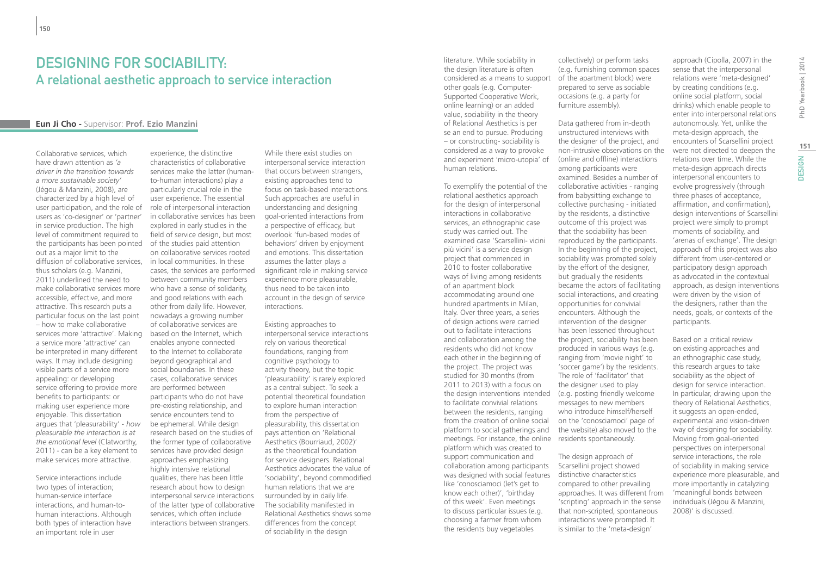### Designing for sociability: A relational aesthetic approach to service interaction

#### **Eun Ji Cho -** Supervisor: **Prof. Ezio Manzini**

Collaborative services, which have drawn attention as *'a driver in the transition towards a more sustainable society'* (Jégou & Manzini, 2008), are characterized by a high level of user participation, and the role of users as 'co-designer' or 'partner' in service production. The high level of commitment required to the participants has been pointed of the studies paid attention out as a major limit to the diffusion of collaborative services, thus scholars (e.g. Manzini, 2011) underlined the need to make collaborative services more accessible, effective, and more attractive. This research puts a particular focus on the last point – how to make collaborative services more 'attractive'. Making a service more 'attractive' can be interpreted in many different ways. It may include designing visible parts of a service more appealing: or developing service offering to provide more benefits to participants: or making user experience more enjoyable. This dissertation argues that 'pleasurability' - *how pleasurable the interaction is at the emotional level* (Clatworthy, 2011) - can be a key element to make services more attractive.

Service interactions include two types of interaction; human-service interface interactions, and human-tohuman interactions. Although both types of interaction have an important role in user

experience, the distinctive characteristics of collaborative services make the latter (humanto-human interactions) play a particularly crucial role in the user experience. The essential role of interpersonal interaction in collaborative services has been explored in early studies in the field of service design, but most on collaborative services rooted in local communities. In these cases, the services are performed between community members who have a sense of solidarity, and good relations with each other from daily life. However, nowadays a growing number of collaborative services are based on the Internet, which enables anyone connected to the Internet to collaborate beyond geographical and social boundaries. In these cases, collaborative services are performed between participants who do not have pre-existing relationship, and service encounters tend to be ephemeral. While design research based on the studies of the former type of collaborative services have provided design approaches emphasizing highly intensive relational qualities, there has been little research about how to design interpersonal service interactions of the latter type of collaborative services, which often include interactions between strangers.

While there exist studies on interpersonal service interaction that occurs between strangers, existing approaches tend to focus on task-based interactions. Such approaches are useful in understanding and designing goal-oriented interactions from a perspective of efficacy, but overlook 'fun-based modes of behaviors' driven by enjoyment and emotions. This dissertation assumes the latter plays a significant role in making service experience more pleasurable, thus need to be taken into account in the design of service interactions.

Existing approaches to interpersonal service interactions rely on various theoretical foundations, ranging from cognitive psychology to activity theory, but the topic 'pleasurability' is rarely explored as a central subject. To seek a potential theoretical foundation to explore human interaction from the perspective of pleasurability, this dissertation pays attention on 'Relational Aesthetics (Bourriaud, 2002)' as the theoretical foundation for service designers. Relational Aesthetics advocates the value of 'sociability', beyond commodified human relations that we are surrounded by in daily life. The sociability manifested in Relational Aesthetics shows some differences from the concept of sociability in the design

literature. While sociability in the design literature is often considered as a means to support other goals (e.g. Computer-Supported Cooperative Work, online learning) or an added value, sociability in the theory of Relational Aesthetics is per se an end to pursue. Producing – or constructing- sociability is considered as a way to provoke and experiment 'micro-utopia' of human relations.

To exemplify the potential of the relational aesthetics approach for the design of interpersonal interactions in collaborative services, an ethnographic case study was carried out. The examined case 'Scarsellini- vicini più vicini' is a service design project that commenced in 2010 to foster collaborative ways of living among residents of an apartment block accommodating around one hundred apartments in Milan, Italy. Over three years, a series of design actions were carried out to facilitate interactions and collaboration among the residents who did not know each other in the beginning of the project. The project was studied for 30 months (from 2011 to 2013) with a focus on the design interventions intended to facilitate convivial relations between the residents, ranging from the creation of online social platform to social gatherings and meetings. For instance, the online residents spontaneously. platform which was created to support communication and collaboration among participants Scarsellini project showed was designed with social features distinctive characteristics like 'conosciamoci (let's get to know each other)', 'birthday of this week'. Even meetings to discuss particular issues (e.g. choosing a farmer from whom the residents buy vegetables

collectively) or perform tasks (e.g. furnishing common spaces of the apartment block) were prepared to serve as sociable occasions (e.g. a party for furniture assembly).

Data gathered from in-depth unstructured interviews with the designer of the project, and non-intrusive observations on the (online and offline) interactions among participants were examined. Besides a number of collaborative activities - ranging from babysitting exchange to collective purchasing - initiated by the residents, a distinctive outcome of this project was that the sociability has been reproduced by the participants. In the beginning of the project, sociability was prompted solely by the effort of the designer, but gradually the residents became the actors of facilitating social interactions, and creating opportunities for convivial encounters. Although the intervention of the designer has been lessened throughout the project, sociability has been produced in various ways (e.g. ranging from 'movie night' to 'soccer game') by the residents. The role of 'facilitator' that the designer used to play (e.g. posting friendly welcome messages to new members who introduce himself/herself on the 'conosciamoci' page of the website) also moved to the

The design approach of compared to other prevailing approaches. It was different from 'scripting' approach in the sense that non-scripted, spontaneous interactions were prompted. It is similar to the 'meta-design'

sense that the interpersonal relations were 'meta-designed' by creating conditions (e.g. online social platform, social drinks) which enable people to enter into interpersonal relations autonomously. Yet, unlike the meta-design approach, the encounters of Scarsellini project were not directed to deepen the relations over time. While the meta-design approach directs interpersonal encounters to evolve progressively (through three phases of acceptance, affirmation, and confirmation), design interventions of Scarsellini project were simply to prompt moments of sociability, and 'arenas of exchange'. The design approach of this project was also different from user-centered or participatory design approach as advocated in the contextual approach, as design interventions were driven by the vision of the designers, rather than the needs, goals, or contexts of the participants.

approach (Cipolla, 2007) in the

Based on a critical review on existing approaches and an ethnographic case study, this research argues to take sociability as the object of design for service interaction. In particular, drawing upon the theory of Relational Aesthetics, it suggests an open-ended, experimental and vision-driven way of designing for sociability. Moving from goal-oriented perspectives on interpersonal service interactions, the role of sociability in making service experience more pleasurable, and more importantly in catalyzing 'meaningful bonds between individuals (Jégou & Manzini, 2008)' is discussed.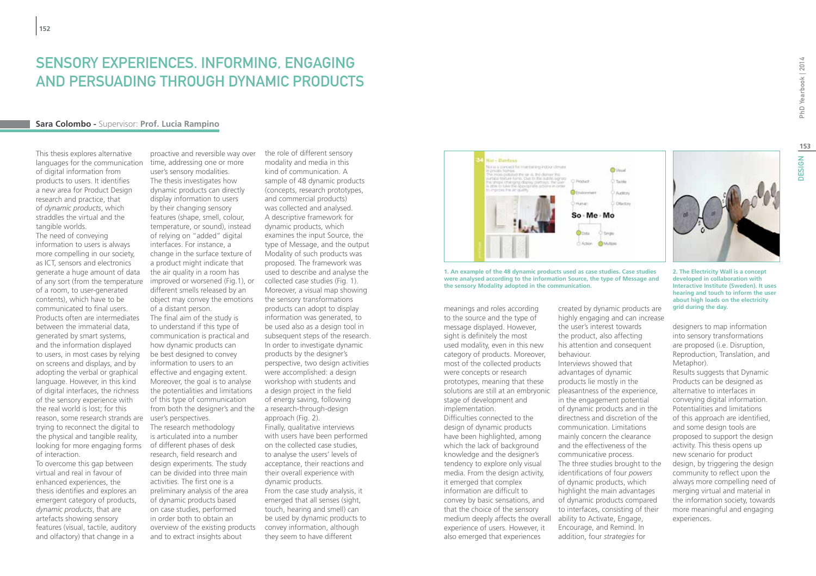### Sensory Experiences. Informing, engaging and persuading through dynamic products

#### **Sara Colombo -** Supervisor: **Prof. Lucia Rampino**

This thesis explores alternative languages for the communication of digital information from products to users. It identifies a new area for Product Design research and practice, that of *dynamic products*, which straddles the virtual and the tangible worlds.

The need of conveying information to users is always more compelling in our society, as ICT, sensors and electronics generate a huge amount of data of any sort (from the temperature of a room, to user-generated contents), which have to be communicated to final users. Products often are intermediates between the immaterial data, generated by smart systems, and the information displayed to users, in most cases by relying on screens and displays, and by adopting the verbal or graphical language. However, in this kind of digital interfaces, the richness of the sensory experience with the real world is lost; for this reason, some research strands are trying to reconnect the digital to the physical and tangible reality, looking for more engaging forms of interaction.

To overcome this gap between virtual and real in favour of enhanced experiences, the thesis identifies and explores an emergent category of products, *dynamic products*, that are artefacts showing sensory features (visual, tactile, auditory and olfactory) that change in a

proactive and reversible way over time, addressing one or more user's sensory modalities. The thesis investigates how dynamic products can directly display information to users by their changing sensory features (shape, smell, colour, temperature, or sound), instead of relying on "added" digital interfaces. For instance, a change in the surface texture of a product might indicate that the air quality in a room has improved or worsened (Fig.1), or different smells released by an object may convey the emotions of a distant person. The final aim of the study is to understand if this type of communication is practical and how dynamic products can be best designed to convey information to users to an effective and engaging extent. Moreover, the goal is to analyse the potentialities and limitations of this type of communication from both the designer's and the user's perspectives. The research methodology is articulated into a number of different phases of desk research, field research and design experiments. The study can be divided into three main activities. The first one is a preliminary analysis of the area of dynamic products based on case studies, performed in order both to obtain an overview of the existing products and to extract insights about

the role of different sensory modality and media in this kind of communication. A sample of 48 dynamic products (concepts, research prototypes, and commercial products) was collected and analysed. A descriptive framework for dynamic products, which examines the input Source, the type of Message, and the output Modality of such products was proposed. The framework was used to describe and analyse the collected case studies (Fig. 1). Moreover, a visual map showing the sensory transformations products can adopt to display information was generated, to be used also as a design tool in subsequent steps of the research. In order to investigate dynamic products by the designer's perspective, two design activities were accomplished: a design workshop with students and a design project in the field of energy saving, following a research-through-design approach (Fig. 2). Finally, qualitative interviews with users have been performed on the collected case studies, to analyse the users' levels of acceptance, their reactions and their overall experience with dynamic products. From the case study analysis, it emerged that all senses (sight, touch, hearing and smell) can be used by dynamic products to convey information, although they seem to have different



**1. An example of the 48 dynamic products used as case studies. Case studies were analysed according to the information Source, the type of Message and the sensory Modality adopted in the communication.**

meanings and roles according to the source and the type of message displayed. However, sight is definitely the most used modality, even in this new category of products. Moreover, most of the collected products were concepts or research prototypes, meaning that these solutions are still at an embryonic stage of development and implementation.

Difficulties connected to the design of dynamic products have been highlighted, among which the lack of background knowledge and the designer's tendency to explore only visual media. From the design activity, it emerged that complex information are difficult to convey by basic sensations, and that the choice of the sensory medium deeply affects the overall ability to Activate, Engage, experience of users. However, it also emerged that experiences

created by dynamic products are highly engaging and can increase the user's interest towards the product, also affecting his attention and consequent

behaviour. Interviews showed that advantages of dynamic products lie mostly in the pleasantness of the experience, in the engagement potential of dynamic products and in the directness and discretion of the communication. Limitations mainly concern the clearance and the effectiveness of the communicative process. The three studies brought to the identifications of four *powers* of dynamic products, which highlight the main advantages of dynamic products compared to interfaces, consisting of their Encourage, and Remind. In addition, four *strategies* for

PhD Yearbook | 2014

**2. The Electricity Wall is a concept developed in collaboration with Interactive Institute (Sweden). It uses hearing and touch to inform the user about high loads on the electricity grid during the day.**

designers to map information into sensory transformations are proposed (i.e. Disruption, Reproduction, Translation, and Metaphor). Results suggests that Dynamic Products can be designed as alternative to interfaces in conveying digital information. Potentialities and limitations of this approach are identified, and some design tools are proposed to support the design activity. This thesis opens up new scenario for product design, by triggering the design community to reflect upon the always more compelling need of merging virtual and material in the information society, towards more meaningful and engaging experiences.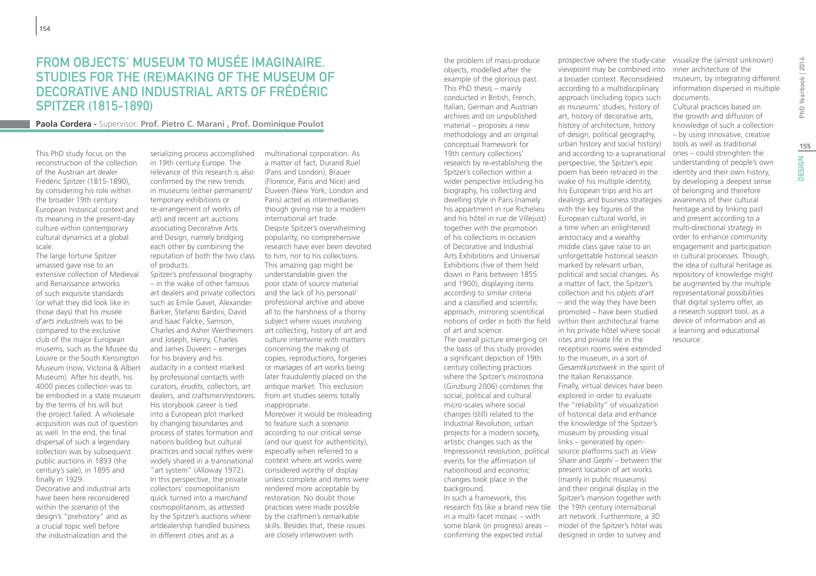### From objects' museum to Musée Imaginaire. Studies for the (re)making of the museum of decorative and industrial arts of Frédéric Spitzer (1815-1890)

**Paola Cordera -** Supervisor: **Prof. Pietro C. Marani , Prof. Dominique Poulot**

This PhD study focus on the reconstruction of the collection of the Austrian art dealer Frédéric Spitzer (1815-1890), by considering his role within the broader 19th century European historical context and its meaning in the present-day culture within contemporary cultural dynamics at a global scale.

The large fortune Spitzer amassed gave rise to an extensive collection of Medieval and Renaissance artworks of such exquisite standards (or what they did look like in those days) that his *musée d'arts industriels* was to be compared to the exclusive club of the major European musems, such as the Musée du Louvre or the South Kensington Museum (now, Victoria & Albert Museum). After his death, his 4000 pieces collection was to be embodied in a state museum by the terms of his will but the project failed. A wholesale acquisition was out of question as well. In the end, the final dispersal of such a legendary collection was by subsequent public auctions in 1893 (the century's sale), in 1895 and finally in 1929.

Decorative and industrial arts have been here reconsidered within the *scenario* of the design's "prehistory" and as a crucial topic well before the industrialization and the

serializing process accomplished in 19th century Europe. The relevance of this research is also confirmed by the new trends in museums (either permanent/ temporary exhibitions or re-arrangement of works of art) and recent art auctions associating Decorative Arts and Design, namely bridging each other by combining the reputation of both the two class of products.

Spitzer's professional biography – in the wake of other famous art dealers and private collectors such as Emile Gavet, Alexander Barker, Stefano Bardini, David and Isaac Falcke, Samson, Charles and Asher Wertheimers and Joseph, Henry, Charles and James Duveen – emerges for his bravery and his audacity in a context marked by professional contacts with curators, *érudits*, collectors, art dealers, and craftsmen/restorers. His storybook career is tied into a European plot marked by changing boundaries and process of states formation and nations building but cultural practices and social rythes were widely shared in a transnational "art system" (Alloway 1972). In this perspective, the private collectors' cosmopolitanism quick turned into a *marchand* cosmopolitanism, as attested by the Spitzer's auctions where artdealership handled business in different cities and as a

multinational corporation. As a matter of fact, Durand Ruel (Paris and London), Brauer (Florence, Paris and Nice) and Duveen (New York, London and Paris) acted as intermediaries though giving rise to a modern international art trade. Despite Spitzer's overwhelming popularity, no comprehensive research have ever been devoted to him, nor to his collections. This amazing gap might be understandable given the poor state of source material and the lack of his personal/ professional archive and above all to the harshness of a thorny subject where issues involving art collecting, history of art and culture intertwine with matters concerning the making of copies, reproductions, forgeries or *mariages* of art works being later fraudulently placed on the antique market. This exclusion from art studies seems totally inappropriate. Moreover it would be misleading to feature such a *scenario*

according to our critical sense (and our quest for authenticity), especially when referred to a context where art works were considered worthy of display unless complete and items were rendered more acceptable by restoration. No doubt those practices were made possible by the craftmen's remarkable skills. Besides that, these issues are closely interwoven with

the problem of mass-produce objects, modelled after the example of the glorious past. This PhD thesis – mainly conducted in British, French, Italian, German and Austrian archives and on unpublished material – proposes a new methodology and an original conceptual framework for 19th century collections' research by re-establishing the Spitzer's collection within a wider perspective including his biography, his collecting and dwelling style in Paris (namely his appartment in rue Richelieu and his hôtel in rue de Villejust) together with the promotion of his collections in occasion of Decorative and Industrial Arts Exhibitions and Universal Exhibitions (five of them held down in Paris between 1855 and 1900), displaying items according to similar criteria and a classified and scientific approach, mirroring scientifical of art and science.

The overall picture emerging on the basis of this study provides a significant depiction of 19th century collecting practices where the Spitzer's *microstoria* (Ginzburg 2006) combines the social, political and cultural micro-scales where social changes (still) related to the Industrial Revolution, urban projects for a modern society, artistic changes such as the Impressionist revolution, political events for the affirmation of nationhood and economic changes took place in the background. In such a framework, this research fits like a brand new tile in a multi-facet mosaic – with some blank (in progress) areas – confirming the expected initial

notions of order in both the field within their architectural frame prospective where the study-case viewpoint may be combined into a broader context. Reconsidered according to a multidisciplinary approach (including topics such as museums' studies, history of art, history of decorative arts, history of architecture, history of design, political geography, urban history and social history) and according to a supranational perspective, the Spitzer's epic poem has been retraced in the wake of his multiple identity, his European trips and his art dealings and business strategies with the key figures of the European cultural world, in a time when an enlightened aristocracy and a wealthy middle class gave raise to an unforgettable historical season marked by relevant urban, political and social changes. As a matter of fact, the Spitzer's collection and his *objets d'art* – and the way they have been promoted – have been studied in his private hôtel where social rites and private life in the reception rooms were extended to the museum, in a sort of *Gesamtkunstwerk* in the spirit of the Italian Renaissance. Finally, virtual devices have been explored in order to evaluate the "reliability" of visualization of historical data and enhance the knowledge of the Spitzer's museum by providing visual links – generated by opensource platforms such as *View* 

> *Share* and *Gephi* – between the present location of art works (mainly in public museums) and their original display in the Spitzer's mansion together with the 19th century international art network. Furthermore, a 3D model of the Spitzer's hôtel was designed in order to survey and

visualize the (almost unknown) inner architecture of the museum, by integrating different information dispersed in multiple documents.

Cultural practices based on the growth and diffusion of knowledge of such a collection – by using innovative, creative tools as well as traditional ones – could strenghten the understanding of people's own identity and their own history, by developing a deepest sense of belonging and therefore awareness of their cultural heritage and by linking past and present according to a multi-directional strategy in order to enhance community engagement and participation in cultural processes. Though, the idea of cultural heritage as repository of knowledge might be augmented by the multiple representational possibilities that digital systems offer, as a research support tool, as a device of information and as a learning and educational resource.

**155**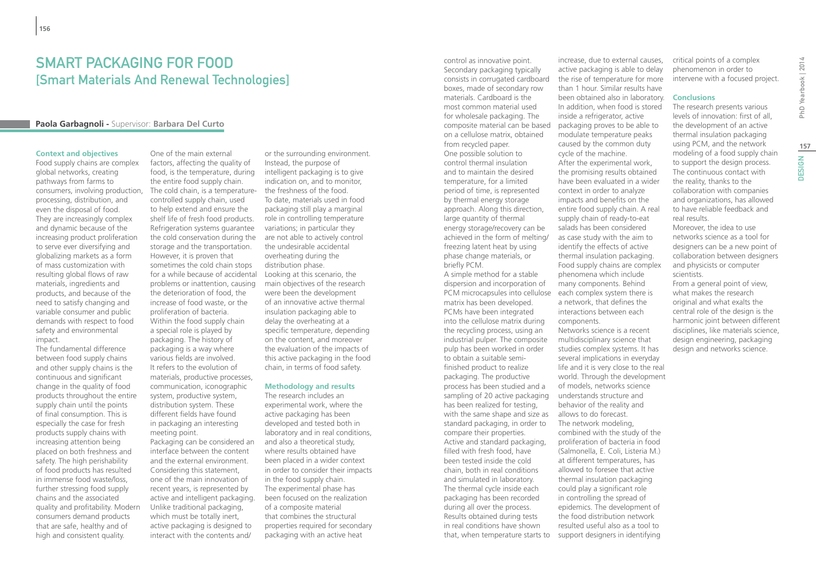### SMART packaging for food [Smart Materials And Renewal Technologies]

#### **Paola Garbagnoli -** Supervisor: **Barbara Del Curto**

#### **Context and objectives**

Food supply chains are complex global networks, creating pathways from farms to consumers, involving production, processing, distribution, and even the disposal of food. They are increasingly complex and dynamic because of the increasing product proliferation to serve ever diversifying and globalizing markets as a form of mass customization with resulting global flows of raw materials, ingredients and products, and because of the need to satisfy changing and variable consumer and public demands with respect to food safety and environmental impact.

The fundamental difference between food supply chains and other supply chains is the continuous and significant change in the quality of food products throughout the entire supply chain until the points of final consumption. This is especially the case for fresh products supply chains with increasing attention being placed on both freshness and safety. The high perishability of food products has resulted in immense food waste/loss, further stressing food supply chains and the associated quality and profitability. Modern consumers demand products that are safe, healthy and of high and consistent quality.

One of the main external factors, affecting the quality of food, is the temperature, during the entire food supply chain. The cold chain, is a temperaturecontrolled supply chain, used to help extend and ensure the shelf life of fresh food products. Refrigeration systems guarantee the cold conservation during the storage and the transportation. However, it is proven that sometimes the cold chain stops for a while because of accidental problems or inattention, causing the deterioration of food, the increase of food waste, or the proliferation of bacteria. Within the food supply chain a special role is played by packaging. The history of packaging is a way where various fields are involved. It refers to the evolution of materials, productive processes, communication, iconographic system, productive system, distribution system. These different fields have found in packaging an interesting meeting point. Packaging can be considered an

interface between the content and the external environment. Considering this statement, one of the main innovation of recent years, is represented by active and intelligent packaging. Unlike traditional packaging, which must be totally inert, active packaging is designed to interact with the contents and/

or the surrounding environment. Instead, the purpose of intelligent packaging is to give indication on, and to monitor, the freshness of the food. To date, materials used in food packaging still play a marginal role in controlling temperature variations; in particular they are not able to actively control the undesirable accidental overheating during the distribution phase. Looking at this scenario, the main objectives of the research were been the development of an innovative active thermal insulation packaging able to delay the overheating at a specific temperature, depending on the content, and moreover the evaluation of the impacts of this active packaging in the food chain, in terms of food safety.

#### **Methodology and results**

The research includes an experimental work, where the active packaging has been developed and tested both in laboratory and in real conditions, and also a theoretical study, where results obtained have been placed in a wider context in order to consider their impacts in the food supply chain. The experimental phase has been focused on the realization of a composite material that combines the structural properties required for secondary packaging with an active heat

control as innovative point. Secondary packaging typically consists in corrugated cardboard boxes, made of secondary row materials. Cardboard is the most common material used for wholesale packaging. The composite material can be based on a cellulose matrix, obtained from recycled paper. One possible solution to control thermal insulation and to maintain the desired temperature, for a limited period of time, is represented by thermal energy storage approach. Along this direction, large quantity of thermal energy storage/recovery can be achieved in the form of melting/ freezing latent heat by using phase change materials, or

briefly PCM.

A simple method for a stable dispersion and incorporation of PCM microcapsules into cellulose each complex system there is matrix has been developed. PCMs have been integrated into the cellulose matrix during the recycling process, using an industrial pulper. The composite pulp has been worked in order to obtain a suitable semifinished product to realize packaging. The productive process has been studied and a sampling of 20 active packaging has been realized for testing, with the same shape and size as standard packaging, in order to compare their properties. Active and standard packaging, filled with fresh food, have been tested inside the cold chain, both in real conditions and simulated in laboratory. The thermal cycle inside each packaging has been recorded during all over the process. Results obtained during tests in real conditions have shown that, when temperature starts to

increase, due to external causes active packaging is able to delay the rise of temperature for more than 1 hour. Similar results have been obtained also in laboratory. In addition, when food is stored inside a refrigerator, active packaging proves to be able to modulate temperature peaks caused by the common duty cycle of the machine. After the experimental work, the promising results obtained have been evaluated in a wider context in order to analyze impacts and benefits on the entire food supply chain. A real supply chain of ready-to-eat salads has been considered as case study with the aim to identify the effects of active thermal insulation packaging. Food supply chains are complex phenomena which include many components. Behind a network, that defines the interactions between each components. Networks science is a recent multidisciplinary science that studies complex systems. It has several implications in everyday life and it is very close to the real world. Through the development of models, networks science understands structure and behavior of the reality and allows to do forecast. The network modeling, combined with the study of the proliferation of bacteria in food (Salmonella, E. Coli, Listeria M.) at different temperatures, has allowed to foresee that active thermal insulation packaging could play a significant role in controlling the spread of

epidemics. The development of the food distribution network resulted useful also as a tool to support designers in identifying critical points of a complex phenomenon in order to intervene with a focused project.

#### **Conclusions**

The research presents various levels of innovation: first of all, the development of an active thermal insulation packaging using PCM, and the network modeling of a food supply chain to support the design process. The continuous contact with the reality, thanks to the collaboration with companies and organizations, has allowed to have reliable feedback and real results.

Moreover, the idea to use networks science as a tool for designers can be a new point of collaboration between designers and physicists or computer scientists.

From a general point of view, what makes the research original and what exalts the central role of the design is the harmonic joint between different disciplines, like materials science, design engineering, packaging design and networks science.

**157**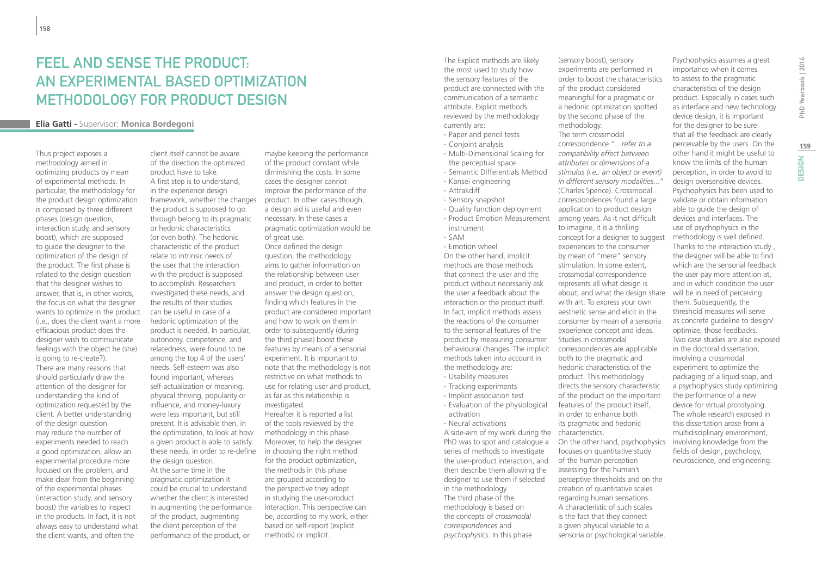### FFFI AND SENSE THE PRODUCT. An experimental based optimization methodology FOR PRODUCT DESIGN

#### **Elia Gatti -** Supervisor: **Monica Bordegoni**

Thus project exposes a methodology aimed in optimizing products by mean of experimental methods. In particular, the methodology for the product design optimization is composed by three different phases (design question, interaction study, and sensory boost), which are supposed to guide the designer to the optimization of the design of the product. The first phase is related to the design question that the designer wishes to answer, that is, in other words, the focus on what the designer wants to optimize in the product. (i.e., does the client want a more efficacious product does the designer wish to communicate feelings with the object he (she) is going to re-create?). There are many reasons that should particularly draw the attention of the designer for understanding the kind of optimization requested by the client. A better understanding of the design question may reduce the number of experiments needed to reach a good optimization, allow an experimental procedure more focused on the problem, and make clear from the beginning of the experimental phases (interaction study, and sensory boost) the variables to inspect in the products. In fact, it is not always easy to understand what the client wants, and often the

client itself cannot be aware of the direction the optimized product have to take. A first step is to understand, in the experience design framework, whether the changes the product is supposed to go through belong to its pragmatic or hedonic characteristics (or even both). The hedonic characteristic of the product relate to intrinsic needs of the user that the interaction with the product is supposed to accomplish. Researchers investigated these needs, and the results of their studies can be useful in case of a hedonic optimization of the product is needed. In particular, autonomy, competence, and relatedness, were found to be among the top 4 of the users' needs. Self-esteem was also found important, whereas self-actualization or meaning, physical thriving, popularity or influence, and money-luxury were less important, but still present. It is advisable then, in the optimization, to look at how a given product is able to satisfy these needs, in order to re-define the design question. At the same time in the pragmatic optimization it could be crucial to understand whether the client is interested in augmenting the performance of the product, augmenting the client perception of the performance of the product, or

maybe keeping the performance of the product constant while diminishing the costs. In some cases the designer cannot improve the performance of the product. In other cases though, a design aid is useful and even necessary. In these cases a pragmatic optimization would be of great use. Once defined the design question, the methodology aims to gather information on the relationship between user and product, in order to better answer the design question, finding which features in the product are considered important and how to work on them in order to subsequently (during the third phase) boost these features by means of a sensorial experiment. It is important to note that the methodology is not restrictive on what methods to use for relating user and product, as far as this relationship is investigated. Hereafter it is reported a list of the tools reviewed by the methodology in this phase. Moreover, to help the designer in choosing the right method for the product optimization, the methods in this phase

are grouped according to the perspective they adopt in studying the user-product interaction. This perspective can be, according to my work, either based on self-report (explicit methods) or implicit.

The Explicit methods are likely the most used to study how the sensory features of the product are connected with the communication of a semantic attribute. Explicit methods reviewed by the methodology currently are:

- ∙ Paper and pencil tests
- ∙ Conjoint analysis
- ∙ Multi-Dimensional Scaling for the perceptual space
- ∙ Semantic Differentials Method ∙ Kansei engineering
- ∙ Attrakdiff
- ∙ Sensory snapshot
- ∙ Quality function deployment ∙ Product Emotion Measurement
- instrument ∙ SAM
- ∙ Emotion wheel

On the other hand, implicit methods are those methods that connect the user and the product without necessarily ask the user a feedback about the interaction or the product itself. In fact, implicit methods assess the reactions of the consumer to the sensorial features of the product by measuring consumer behavioural changes. The implicit methods taken into account in the methodology are:

- ∙ Usability measures
- ∙ Tracking experiments
- ∙ Implicit association test
- ∙ Evaluation of the physiological activation
- ∙ Neural activations

A side-aim of my work during the characteristics. PhD was to spot and catalogue a series of methods to investigate the user-product interaction, and then describe them allowing the designer to use them if selected in the methodology. The third phase of the methodology is based on the concepts of *crossmodal correspondences* and *psychophysics*. In this phase

(sensory boost), sensory experiments are performed in order to boost the characteristics of the product considered meaningful for a pragmatic or a hedonic optimization spotted by the second phase of the methodology. The term crossmodal correspondence *"…refer to a compatibility effect between attributes or dimensions of a stimulus (i.e.: an object or event) in different sensory modalities..."* (Charles Spence). Crossmodal correspondences found a large application to product design among years. As it not difficult to imagine, it is a thrilling concept for a designer to suggest experiences to the consumer by mean of "mere" sensory stimulation. In some extent, crossmodal correspondence represents all what design is about, and what the design share with art: To express your own aesthetic sense and elicit in the consumer by mean of a sensoria experience concept and ideas. Studies in crossmodal correspondences are applicable both to the pragmatic and hedonic characteristics of the product. This methodology directs the sensory characteristic of the product on the important features of the product itself, in order to enhance both its pragmatic and hedonic On the other hand, psychophysics focuses on quantitative study of the human perception assessing for the human's perceptive thresholds and on the

creation of quantitative scales regarding human sensations. A characteristic of such scales is the fact that they connect a given physical variable to a sensoria or psychological variable.

Psychophysics assumes a great importance when it comes to assess to the pragmatic characteristics of the design product. Especially in cases such as interface and new technology device design, it is important for the designer to be sure that all the feedback are clearly perceivable by the users. On the other hand it might be useful to know the limits of the human perception, in order to avoid to design oversensitive devices. Psychophysics has been used to validate or obtain information able to guide the design of devices and interfaces. The use of psychophysics in the methodology is well defined. Thanks to the interaction study , the designer will be able to find which are the sensorial feedback the user pay more attention at, and in which condition the user will be in need of perceiving them. Subsequently, the threshold measures will serve as concrete guideline to design/ optimize, those feedbacks. Two case studies are also exposed in the doctoral dissertation, involving a crossmodal experiment to optimize the packaging of a liquid soap, and a psychophysics study optimizing the performance of a new device for virtual prototyping. The whole research exposed in this dissertation arose from a multidisciplinary environment, involving knowledge from the fields of design, psychology, neuroscience, and engineering.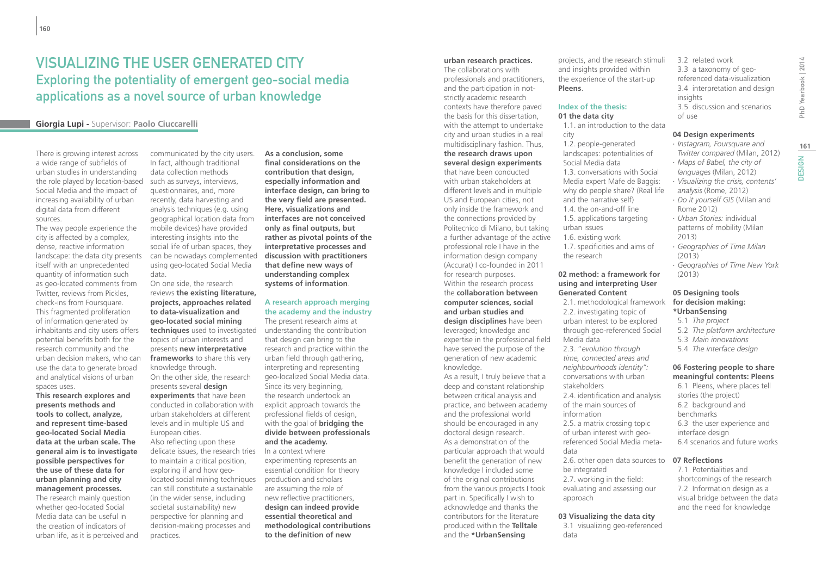### Visualizing the User Generated city Exploring the potentiality of emergent geo-social media applications as a novel source of urban knowledge

#### **Giorgia Lupi -** Supervisor: **Paolo Ciuccarelli**

There is growing interest across a wide range of subfields of urban studies in understanding the role played by location-based Social Media and the impact of increasing availability of urban digital data from different sources.

The way people experience the city is affected by a complex, dense, reactive information landscape: the data city presents itself with an unprecedented quantity of information such as geo-located comments from Twitter, reviews from Pickles, check-ins from Foursquare. This fragmented proliferation of information generated by inhabitants and city users offers potential benefits both for the research community and the urban decision makers, who can use the data to generate broad and analytical visions of urban spaces uses.

**This research explores and presents methods and tools to collect, analyze, and represent time-based geo-located Social Media data at the urban scale. The general aim is to investigate possible perspectives for the use of these data for urban planning and city management processes.** The research mainly question whether geo-located Social Media data can be useful in the creation of indicators of urban life, as it is perceived and

communicated by the city users. In fact, although traditional data collection methods such as surveys, interviews, questionnaires, and, more recently, data harvesting and analysis techniques (e.g. using geographical location data from mobile devices) have provided interesting insights into the social life of urban spaces, they can be nowadays complemented using geo-located Social Media data.

On one side, the research reviews **the existing literature, projects, approaches related to data-visualization and geo-located social mining techniques** used to investigated topics of urban interests and presents **new interpretative frameworks** to share this very knowledge through. On the other side, the research presents several **design experiments** that have been conducted in collaboration with urban stakeholders at different levels and in multiple US and European cities. Also reflecting upon these delicate issues, the research tries In a context where to maintain a critical position, exploring if and how geolocated social mining techniques production and scholars can still constitute a sustainable (in the wider sense, including societal sustainability) new perspective for planning and decision-making processes and practices.

**As a conclusion, some final considerations on the contribution that design, especially information and interface design, can bring to the very field are presented. Here, visualizations and interfaces are not conceived only as final outputs, but rather as pivotal points of the interpretative processes and discussion with practitioners that define new ways of understanding complex systems of information**.

#### **A research approach merging the academy and the industry** The present research aims at

understanding the contribution that design can bring to the research and practice within the urban field through gathering, interpreting and representing geo-localized Social Media data. Since its very beginning, the research undertook an explicit approach towards the professional fields of design, with the goal of **bridging the divide between professionals and the academy.**

experimenting represents an essential condition for theory are assuming the role of new reflective practitioners, **design can indeed provide essential theoretical and methodological contributions to the definition of new** 

#### **urban research practices.**

The collaborations with professionals and practitioners, and the participation in notstrictly academic research contexts have therefore paved the basis for this dissertation, with the attempt to undertake city and urban studies in a real multidisciplinary fashion. Thus, **the research draws upon several design experiments** that have been conducted with urban stakeholders at different levels and in multiple US and European cities, not only inside the framework and the connections provided by Politecnico di Milano, but taking a further advantage of the active professional role I have in the information design company (Accurat) I co-founded in 2011 for research purposes. Within the research process the **collaboration between computer sciences, social and urban studies and design disciplines** have been leveraged; knowledge and expertise in the professional field have served the purpose of the generation of new academic knowledge. As a result, I truly believe that a deep and constant relationship between critical analysis and practice, and between academy and the professional world should be encouraged in any doctoral design research. As a demonstration of the particular approach that would benefit the generation of new knowledge I included some of the original contributions from the various projects I took

part in. Specifically I wish to acknowledge and thanks the contributors for the literature produced within the **Telltale** and the **\*UrbanSensing**

projects, and the research stimuli and insights provided within the experience of the start-up **Pleens**.

#### **Index of the thesis: 01 the data city**

1.1. an introduction to the data

- city 1.2. people-generated landscapes: potentialities of Social Media data 1.3. conversations with Social Media expert Mafe de Baggis: why do people share? (Real life and the narrative self) 1.4. the on-and-off line
- 1.5. applications targeting urban issues
- 1.6. existing work 1.7. specificities and aims of the research

#### **02 method: a framework for using and interpreting User Generated Content**

2.1. methodological framework 2.2. investigating topic of urban interest to be explored through geo-referenced Social Media data 2.3. "*evolution through time, connected areas and neighbourhoods identity":* conversations with urban stakeholders 2.4. identification and analysis of the main sources of information 2.5. a matrix crossing topic of urban interest with georeferenced Social Media metadata 2.6. other open data sources to be integrated 2.7. working in the field:

evaluating and assessing our approach

#### **03 Visualizing the data city**

3.1 visualizing geo-referenced data

3.2 related work 3.3 a taxonomy of georeferenced data-visualization 3.4 interpretation and design insights 3.5 discussion and scenarios of use

#### **04 Design experiments**

- ∙ *Instagram, Foursquare and Twitter compared* (Milan, 2012)
- ∙ *Maps of Babel, the city of languages* (Milan, 2012)
- ∙ *Visualizing the crisis, contents' analysis* (Rome, 2012)
- ∙ *Do it yourself GIS* (Milan and Rome 2012)
- ∙ *Urban Stories:* individual patterns of mobility (Milan 2013)
- ∙ *Geographies of Time Milan* (2013)
- ∙ *Geographies of Time New York*  (2013)

#### **05 Designing tools**

### **for decision making:**

- **\*UrbanSensing** 5.1 *The project*
- 5.2 *The platform architecture*
- 
- 5.3 *Main innovations*
- 5.4 *The interface design*

#### **06 Fostering people to share meaningful contents: Pleens**

6.1 Pleens, where places tell stories (the project) 6.2 background and benchmarks 6.3 the user experience and interface design 6.4 scenarios and future works

#### **07 Reflections**

7.1 Potentialities and shortcomings of the research 7.2 Information design as a visual bridge between the data and the need for knowledge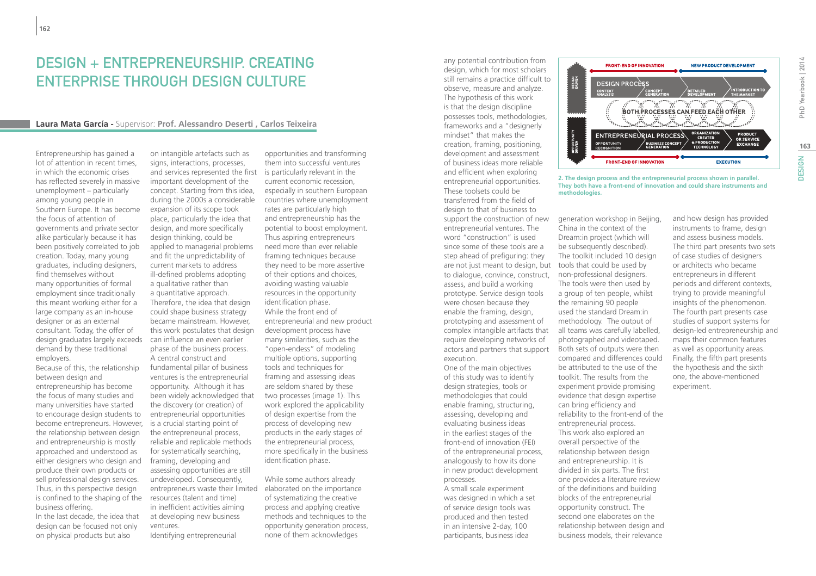### Design + Entrepreneurship. Creating Enterprise Through Design Culture

#### **Laura Mata García -** Supervisor: **Prof. Alessandro Deserti , Carlos Teixeira**

Entrepreneurship has gained a lot of attention in recent times, in which the economic crises has reflected severely in massive unemployment – particularly among young people in Southern Europe. It has become the focus of attention of governments and private sector alike particularly because it has been positively correlated to job creation. Today, many young graduates, including designers, find themselves without many opportunities of formal employment since traditionally this meant working either for a large company as an in-house designer or as an external consultant. Today, the offer of design graduates largely exceeds demand by these traditional employers.

Because of this, the relationship between design and entrepreneurship has become the focus of many studies and many universities have started to encourage design students to become entrepreneurs. However, the relationship between design and entrepreneurship is mostly approached and understood as either designers who design and produce their own products or sell professional design services. Thus, in this perspective design is confined to the shaping of the business offering.

In the last decade, the idea that design can be focused not only on physical products but also

on intangible artefacts such as signs, interactions, processes, and services represented the first is particularly relevant in the important development of the concept. Starting from this idea, during the 2000s a considerable expansion of its scope took place, particularly the idea that design, and more specifically design thinking, could be applied to managerial problems and fit the unpredictability of current markets to address ill-defined problems adopting a qualitative rather than a quantitative approach. Therefore, the idea that design could shape business strategy became mainstream. However, this work postulates that design can influence an even earlier phase of the business process. A central construct and fundamental pillar of business ventures is the entrepreneurial opportunity. Although it has been widely acknowledged that the discovery (or creation) of entrepreneurial opportunities is a crucial starting point of the entrepreneurial process, reliable and replicable methods for systematically searching, framing, developing and assessing opportunities are still undeveloped. Consequently, entrepreneurs waste their limited elaborated on the importance resources (talent and time) in inefficient activities aiming at developing new business ventures.

Identifying entrepreneurial

opportunities and transforming them into successful ventures current economic recession, especially in southern European countries where unemployment rates are particularly high and entrepreneurship has the potential to boost employment. Thus aspiring entrepreneurs need more than ever reliable framing techniques because they need to be more assertive of their options and choices, avoiding wasting valuable resources in the opportunity identification phase. While the front end of entrepreneurial and new product development process have many similarities, such as the "open-endess" of modeling multiple options, supporting tools and techniques for framing and assessing ideas are seldom shared by these two processes (image 1). This work explored the applicability of design expertise from the process of developing new products in the early stages of the entrepreneurial process, more specifically in the business identification phase.

While some authors already of systematizing the creative process and applying creative methods and techniques to the opportunity generation process, none of them acknowledges

any potential contribution from design, which for most scholars still remains a practice difficult to observe, measure and analyze. The hypothesis of this work is that the design discipline possesses tools, methodologies, frameworks and a "designerly mindset" that makes the creation, framing, positioning, development and assessment of business ideas more reliable and efficient when exploring entrepreneurial opportunities. These toolsets could be transferred from the field of design to that of business to support the construction of new entrepreneurial ventures. The word "construction" is used since some of these tools are a step ahead of prefiguring: they are not just meant to design, but tools that could be used by to dialogue, convince, construct, non-professional designers. assess, and build a working prototype. Service design tools were chosen because they enable the framing, design, prototyping and assessment of complex intangible artifacts that require developing networks of actors and partners that support execution.

One of the main objectives of this study was to identify design strategies, tools or methodologies that could enable framing, structuring, assessing, developing and evaluating business ideas in the earliest stages of the front-end of innovation (FEI) of the entrepreneurial process, analogously to how its done in new product development processes.

A small scale experiment was designed in which a set of service design tools was produced and then tested in an intensive 2-day, 100 participants, business idea



**2. The design process and the entrepreneurial process shown in parallel. They both have a front-end of innovation and could share instruments and methodologies.**

generation workshop in Beijing, China in the context of the Dream:in project (which will be subsequently described). The toolkit included 10 design The tools were then used by a group of ten people, whilst the remaining 90 people used the standard Dream:in methodology. The output of all teams was carefully labelled, photographed and videotaped. Both sets of outputs were then compared and differences could be attributed to the use of the toolkit. The results from the experiment provide promising evidence that design expertise can bring efficiency and reliability to the front-end of the entrepreneurial process. This work also explored an overall perspective of the relationship between design and entrepreneurship. It is divided in six parts. The first one provides a literature review of the definitions and building blocks of the entrepreneurial opportunity construct. The second one elaborates on the relationship between design and business models, their relevance

and how design has provided instruments to frame, design and assess business models. The third part presents two sets of case studies of designers or architects who became entrepreneurs in different periods and different contexts, trying to provide meaningful insights of the phenomenon. The fourth part presents case studies of support systems for design-led entrepreneurship and maps their common features as well as opportunity areas. Finally, the fifth part presents the hypothesis and the sixth one, the above-mentioned experiment.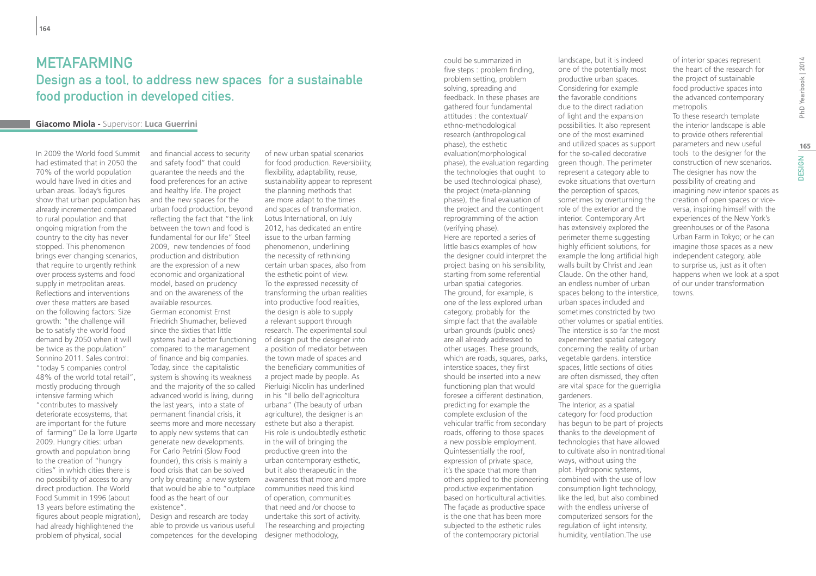### METAFARMING Design as a tool, to address new spaces for a sustainable food production in developed cities.

#### **Giacomo Miola -** Supervisor: **Luca Guerrini**

In 2009 the World food Summit had estimated that in 2050 the 70% of the world population would have lived in cities and urban areas. Today's figures show that urban population has already incremented compared to rural population and that ongoing migration from the country to the city has never stopped. This phenomenon brings ever changing scenarios, that require to urgently rethink over process systems and food supply in metrpolitan areas. Reflections and interventions over these matters are based on the following factors: Size growth: "the challenge will be to satisfy the world food demand by 2050 when it will be twice as the population" Sonnino 2011. Sales control: "today 5 companies control 48% of the world total retail", mostly producing through intensive farming which "contributes to massively deteriorate ecosystems, that are important for the future of farming" De la Torre Ugarte 2009. Hungry cities: urban growth and population bring to the creation of "hungry cities" in which cities there is no possibility of access to any direct production. The World Food Summit in 1996 (about 13 years before estimating the figures about people migration), had already highlightened the problem of physical, social

and financial access to security and safety food" that could guarantee the needs and the food preferences for an active and healthy life. The project and the new spaces for the urban food production, beyond reflecting the fact that "the link between the town and food is fundamental for our life" Steel 2009, new tendencies of food production and distribution are the expression of a new economic and organizational model, based on prudency and on the awareness of the available resources. German economist Ernst Friedrich Shumacher, believed since the sixties that little systems had a better functioning compared to the management of finance and big companies. Today, since the capitalistic system is showing its weakness and the majority of the so called advanced world is living, during the last years, into a state of permanent financial crisis, it seems more and more necessary to apply new systems that can generate new developments. For Carlo Petrini (Slow Food founder), this crisis is mainly a food crisis that can be solved only by creating a new system that would be able to "outplace food as the heart of our existence".

Design and research are today able to provide us various useful competences for the developing

of new urban spatial scenarios for food production. Reversibility, flexibility, adaptability, reuse, sustainability appear to represent the planning methods that are more adapt to the times and spaces of transformation. Lotus International, on July 2012, has dedicated an entire issue to the urban farming phenomenon, underlining the necessity of rethinking certain urban spaces, also from the esthetic point of view. To the expressed necessity of transforming the urban realities into productive food realities, the design is able to supply a relevant support through research. The experimental soul of design put the designer into a position of mediator between the town made of spaces and the beneficiary communities of a project made by people. As Pierluigi Nicolin has underlined in his "Il bello dell'agricoltura urbana" (The beauty of urban agriculture), the designer is an esthete but also a therapist. His role is undoubtedly esthetic in the will of bringing the productive green into the urban contemporary esthetic, but it also therapeutic in the awareness that more and more communities need this kind of operation, communities that need and /or choose to undertake this sort of activity. The researching and projecting designer methodology,

five steps : problem finding, problem setting, problem solving, spreading and feedback. In these phases are gathered four fundamental attitudes : the contextual/ ethno-methodological research (anthropological phase), the esthetic evaluation(morphological phase), the evaluation regarding the technologies that ought to be used (technological phase), the project (meta-planning phase), the final evaluation of the project and the contingent reprogramming of the action (verifying phase). Here are reported a series of little basics examples of how the designer could interpret the project basing on his sensibility, starting from some referential urban spatial categories. The ground, for example, is one of the less explored urban category, probably for the simple fact that the available urban grounds (public ones) are all already addressed to other usages. These grounds, which are roads, squares, parks, interstice spaces, they first should be inserted into a new functioning plan that would foresee a different destination, predicting for example the complete exclusion of the vehicular traffic from secondary roads, offering to those spaces a new possible employment. Quintessentially the roof, expression of private space, it's the space that more than others applied to the pioneering productive experimentation based on horticultural activities. The façade as productive space is the one that has been more subjected to the esthetic rules of the contemporary pictorial

could be summarized in

landscape, but it is indeed one of the potentially most productive urban spaces. Considering for example the favorable conditions due to the direct radiation of light and the expansion possibilities. It also represent one of the most examined and utilized spaces as support for the so-called decorative green though. The perimeter represent a category able to evoke situations that overturn the perception of spaces, sometimes by overturning the role of the exterior and the interior. Contemporary Art has extensively explored the perimeter theme suggesting highly efficient solutions, for example the long artificial high walls built by Christ and Jean Claude. On the other hand, an endless number of urban spaces belong to the interstice, urban spaces included and sometimes constricted by two other volumes or spatial entities. The interstice is so far the most experimented spatial category concerning the reality of urban vegetable gardens. interstice spaces, little sections of cities are often dismissed, they often are vital space for the guerriglia gardeners. The Interior, as a spatial category for food production has begun to be part of projects thanks to the development of technologies that have allowed to cultivate also in nontraditional ways, without using the plot. Hydroponic systems, combined with the use of low consumption light technology, like the led, but also combined with the endless universe of

computerized sensors for the regulation of light intensity, humidity, ventilation.The use

of interior spaces represent the heart of the research for the project of sustainable food productive spaces into the advanced contemporary metropolis.

To these research template the interior landscape is able to provide others referential parameters and new useful tools to the designer for the construction of new scenarios. The designer has now the possibility of creating and imagining new interior spaces as creation of open spaces or viceversa, inspiring himself with the experiences of the New York's greenhouses or of the Pasona Urban Farm in Tokyo; or he can imagine those spaces as a new independent category, able to surprise us, just as it often happens when we look at a spot of our under transformation towns.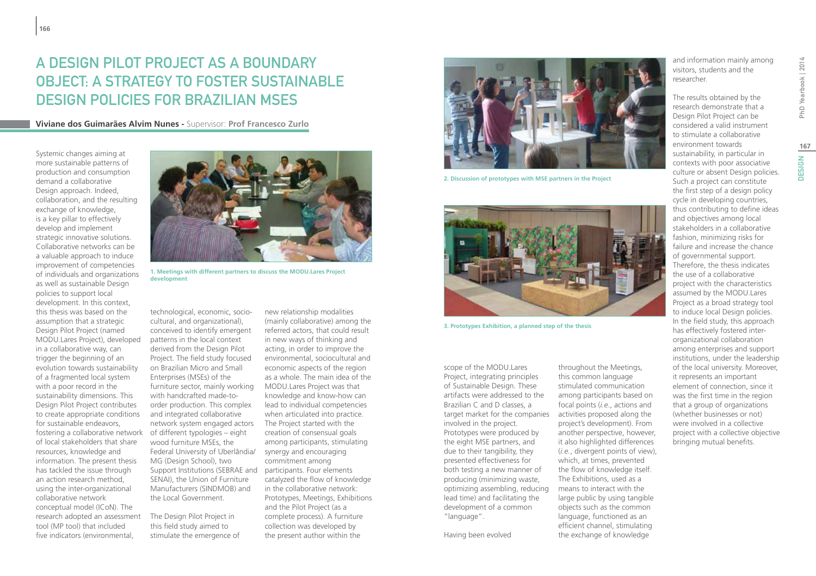## A Design Pilot Project as a Boundary Object: a strategy to foster sustainable design policies for Brazilian MSES

**Viviane dos Guimarães Alvim Nunes -** Supervisor: **Prof Francesco Zurlo**

Systemic changes aiming at more sustainable patterns of production and consumption demand a collaborative Design approach. Indeed, collaboration, and the resulting exchange of knowledge, is a key pillar to effectively develop and implement strategic innovative solutions. Collaborative networks can be a valuable approach to induce improvement of competencies of individuals and organizations as well as sustainable Design policies to support local development. In this context, this thesis was based on the assumption that a strategic Design Pilot Project (named MODU.Lares Project), developed in a collaborative way, can trigger the beginning of an evolution towards sustainability of a fragmented local system with a poor record in the sustainability dimensions. This Design Pilot Project contributes to create appropriate conditions for sustainable endeavors, fostering a collaborative network of different typologies – eight of local stakeholders that share resources, knowledge and information. The present thesis has tackled the issue through an action research method, using the inter-organizational collaborative network conceptual model (ICoN). The research adopted an assessment tool (MP tool) that included five indicators (environmental,



**1. Meetings with different partners to discuss the MODU.Lares Project development**

technological, economic, sociocultural, and organizational), conceived to identify emergent patterns in the local context derived from the Design Pilot Project. The field study focused on Brazilian Micro and Small Enterprises (MSEs) of the furniture sector, mainly working with handcrafted made-toorder production. This complex and integrated collaborative network system engaged actors wood furniture MSEs, the Federal University of Uberlândia/ MG (Design School), two Support Institutions (SEBRAE and SENAI), the Union of Furniture Manufacturers (SINDMOB) and the Local Government.

The Design Pilot Project in this field study aimed to stimulate the emergence of

new relationship modalities (mainly collaborative) among the referred actors, that could result in new ways of thinking and acting, in order to improve the environmental, sociocultural and economic aspects of the region as a whole. The main idea of the MODU.Lares Project was that knowledge and know-how can lead to individual competencies when articulated into practice. The Project started with the creation of consensual goals among participants, stimulating synergy and encouraging commitment among participants. Four elements catalyzed the flow of knowledge in the collaborative network: Prototypes, Meetings, Exhibitions and the Pilot Project (as a complete process). A furniture collection was developed by the present author within the



**2. Discussion of prototypes with MSE partners in the Project**



**3. Prototypes Exhibition, a planned step of the thesis**

scope of the MODU.Lares Project, integrating principles of Sustainable Design. These artifacts were addressed to the Brazilian C and D classes, a target market for the companies involved in the project. Prototypes were produced by the eight MSE partners, and due to their tangibility, they presented effectiveness for both testing a new manner of producing (minimizing waste, optimizing assembling, reducing lead time) and facilitating the development of a common "language".

Having been evolved

throughout the Meetings, this common language stimulated communication among participants based on focal points (*i.e*., actions and activities proposed along the project's development). From another perspective, however, it also highlighted differences (*i.e.*, divergent points of view), which, at times, prevented the flow of knowledge itself. The Exhibitions, used as a means to interact with the large public by using tangible objects such as the common language, functioned as an efficient channel, stimulating the exchange of knowledge

and information mainly among visitors, students and the researcher.

The results obtained by the research demonstrate that a Design Pilot Project can be considered a valid instrument to stimulate a collaborative environment towards sustainability, in particular in contexts with poor associative culture or absent Design policies. Such a project can constitute the first step of a design policy cycle in developing countries, thus contributing to define ideas and objectives among local stakeholders in a collaborative fashion, minimizing risks for failure and increase the chance of governmental support. Therefore, the thesis indicates the use of a collaborative project with the characteristics assumed by the MODU.Lares Project as a broad strategy tool to induce local Design policies. In the field study, this approach has effectively fostered interorganizational collaboration among enterprises and support institutions, under the leadership of the local university. Moreover, it represents an important element of connection, since it was the first time in the region that a group of organizations (whether businesses or not) were involved in a collective project with a collective objective bringing mutual benefits.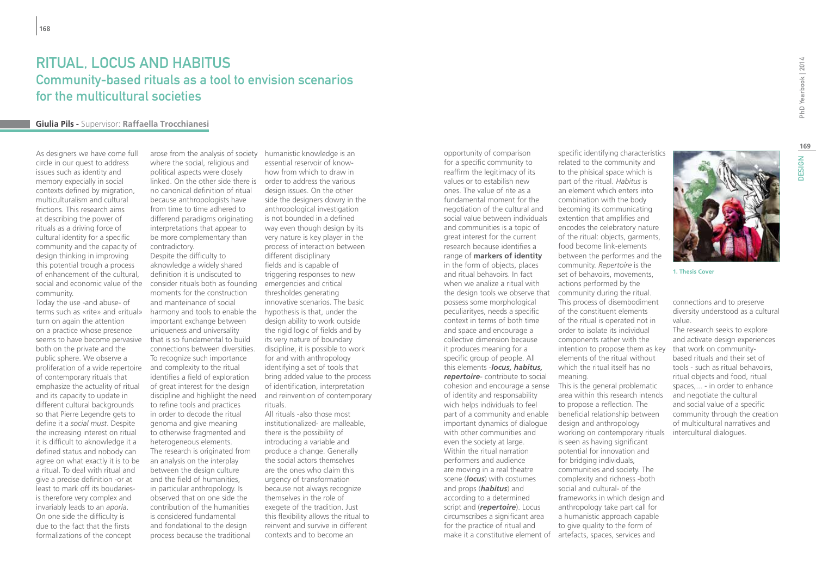### Ritual, locus and habitus Community-based rituals as a tool to envision scenarios for the multicultural societies

#### **Giulia Pils -** Supervisor: **Raffaella Trocchianesi**

As designers we have come full circle in our quest to address issues such as identity and memory expecially in social contexts defined by migration, multiculturalism and cultural frictions. This research aims at describing the power of rituals as a driving force of cultural identity for a specific community and the capacity of design thinking in improving this potential trough a process of enhancement of the cultural, social and economic value of the community.

Today the use -and abuse- of terms such as «rite» and «ritual» harmony and tools to enable the hypothesis is that, under the turn on again the attention on a practice whose presence seems to have become pervasive both on the private and the public sphere. We observe a proliferation of a wide repertoire and complexity to the ritual of contemporary rituals that emphasize the actuality of ritual and its capacity to update in different cultural backgrounds so that Pierre Legendre gets to define it a *social must*. Despite the increasing interest on ritual it is difficult to aknowledge it a defined status and nobody can agree on what exactly it is to be a ritual. To deal with ritual and give a precise definition -or at least to mark off its boudariesis therefore very complex and invariably leads to an *aporia*. On one side the difficulty is due to the fact that the firsts formalizations of the concept

where the social, religious and political aspects were closely linked. On the other side there is order to address the various no canonical definition of ritual because anthropologists have from time to time adhered to differend paradigms originating interpretations that appear to be more complementary than contradictory. Despite the difficulty to aknowledge a widely shared definition it is undiscuted to consider rituals both as founding emergencies and critical moments for the construction and manteinance of social important exchange between uniqueness and universality that is so fundamental to build connections between diversities. To recognize such importance identifies a field of exploration of great interest for the design discipline and highlight the need to refine tools and practices in order to decode the ritual genoma and give meaning to otherwise fragmented and heterogeneous elements. The research is originated from an analysis on the interplay between the design culture and the field of humanities, in particular anthropology. Is observed that on one side the contribution of the humanities is considered fundamental and fondational to the design process because the traditional

arose from the analysis of society humanistic knowledge is an essential reservoir of knowhow from which to draw in design issues. On the other side the designers dowry in the anthropological investigation is not bounded in a defined way even though design by its very nature is key player in the process of interaction between different disciplinary fields and is capable of triggering responses to new thresholdes generating innovative scenarios. The basic design ability to work outside the rigid logic of fields and by its very nature of boundary discipline, it is possible to work for and with anthropology identifying a set of tools that bring added value to the process of identification, interpretation and reinvention of contemporary rituals. All rituals -also those most

institutionalized- are malleable, there is the possibility of introducing a variable and produce a change. Generally the social actors themselves are the ones who claim this urgency of transformation because not always recognize themselves in the role of exegete of the tradition. Just this flexibility allows the ritual to reinvent and survive in different contexts and to become an

opportunity of comparison for a specific community to reaffirm the legitimacy of its values or to estabilish new ones. The value of rite as a fundamental moment for the negotiation of the cultural and social value between individuals and communities is a topic of great interest for the current research because identifies a range of **markers of identity** in the form of objects, places and ritual behavoirs. In fact when we analize a ritual with the design tools we observe that possess some morphological peculiarityes, needs a specific context in terms of both time and space and encourage a collective dimension because it produces meaning for a specific group of people. All this elements -*locus, habitus, repertoire*- contribute to social cohesion and encourage a sense of identity and responsability wich helps individuals to feel part of a community and enable important dynamics of dialogue with other communities and even the society at large. Within the ritual narration performers and audience are moving in a real theatre scene (*locus*) with costumes and props (*habitus*) and according to a determined script and (*repertoire*). Locus circumscribes a significant area for the practice of ritual and make it a constitutive element of

specific identifying characteristics related to the community and to the phisical space which is part of the ritual. *Habitus* is an element which enters into combination with the body becoming its communicating extention that amplifies and encodes the celebratory nature of the ritual: objects, garments, food become link-elements between the performes and the community. *Repertoire* is the set of behavoirs, movements, actions performed by the community during the ritual. This process of disembodiment of the constituent elements of the ritual is operated not in order to isolate its individual components rather with the intention to propose them as key elements of the ritual without which the ritual itself has no meaning. This is the general problematic area within this research intends to propose a reflection. The beneficial relationship between design and anthropology working on contemporary rituals is seen as having significant

potential for innovation and for bridging individuals, communities and society. The complexity and richness -both social and cultural- of the frameworks in which design and anthropology take part call for a humanistic approach capable to give quality to the form of artefacts, spaces, services and

**1. Thesis Cover**

connections and to preserve diversity understood as a cultural value.

The research seeks to explore and activate design experiences that work on communitybased rituals and their set of tools - such as ritual behavoirs, ritual objects and food, ritual spaces,... - in order to enhance and negotiate the cultural and social value of a specific community through the creation of multicultural narratives and intercultural dialogues.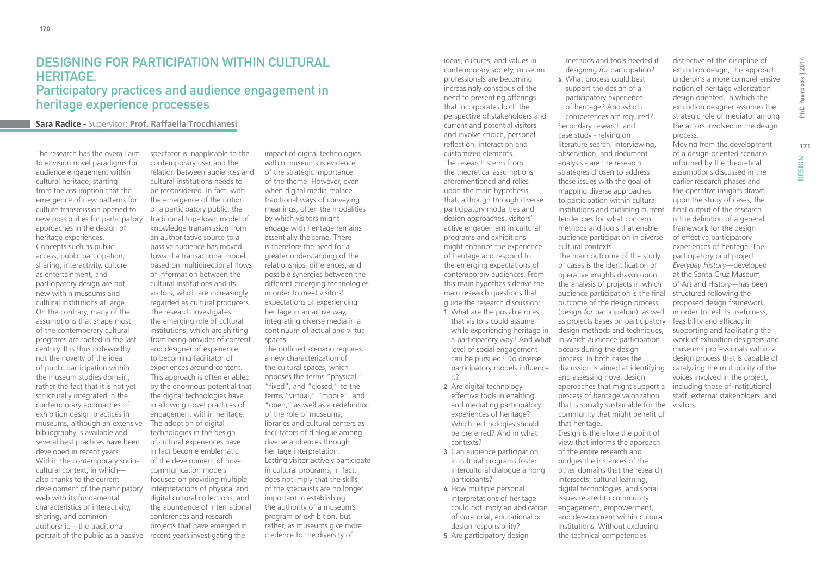### Designing for participation within cultural heritage. Participatory practices and audience engagement in heritage experience processes

#### **Sara Radice -** Supervisor: **Prof. Raffaella Trocchianesi**

The research has the overall aim to envision novel paradigms for audience engagement within cultural heritage, starting from the assumption that the emergence of new patterns for culture transmission opened to new possibilities for participatory approaches in the design of heritage experiences. Concepts such as public access, public participation, sharing, interactivity, culture as entertainment, and participatory design are not new within museums and cultural institutions at large. On the contrary, many of the assumptions that shape most of the contemporary cultural programs are rooted in the last century. It is thus noteworthy not the novelty of the idea of public participation within the museum studies domain, rather the fact that it is not yet structurally integrated in the contemporary approaches of exhibition design practices in museums, although an extensive bibliography is available and several best practices have been developed in recent years. Within the contemporary sociocultural context, in which also thanks to the current development of the participatory web with its fundamental characteristics of interactivity, sharing, and common authorship—the traditional portrait of the public as a passive

spectator is inapplicable to the contemporary user and the relation between audiences and cultural institutions needs to be reconsidered. In fact, with the emergence of the notion of a participatory public, the traditional top-down model of knowledge transmission from an authoritative source to a passive audience has moved toward a transactional model based on multidirectional flows of information between the cultural institutions and its visitors, which are increasingly regarded as cultural producers. The research investigates the emerging role of cultural institutions, which are shifting from being provider of content and designer of experience, to becoming facilitator of experiences around content. This approach is often enabled by the enormous potential that the digital technologies have in allowing novel practices of engagement within heritage. The adoption of digital technologies in the design of cultural experiences have in fact become emblematic of the development of novel communication models focused on providing multiple interpretations of physical and digital cultural collections, and the abundance of international conferences and research projects that have emerged in recent years investigating the

impact of digital technologies within museums is evidence of the strategic importance of the theme. However, even when digital media replace traditional ways of conveying meanings, often the modalities by which visitors might engage with heritage remains essentially the same. There is therefore the need for a greater understanding of the relationships, differences, and possible synergies between the different emerging technologies in order to meet visitors' expectations of experiencing heritage in an active way, integrating diverse media in a continuum of actual and virtual spaces.

The outlined scenario requires a new characterization of the cultural spaces, which opposes the terms "physical," "fixed", and "closed," to the terms "virtual," "mobile", and "open," as well as a redefinition of the role of museums, libraries and cultural centers as facilitators of dialogue among diverse audiences through heritage interpretation. Letting visitor actively participate in cultural programs, in fact, does not imply that the skills of the specialists are no longer important in establishing the authority of a museum's program or exhibition, but rather, as museums give more credence to the diversity of

ideas, cultures, and values in contemporary society, museum professionals are becoming increasingly conscious of the need to presenting offerings that incorporates both the perspective of stakeholders and current and potential visitors and involve choice, personal reflection, interaction and customized elements. The research stems from the theoretical assumptions aforementioned and relies upon the main hypothesis that, although through diverse participatory modalities and design approaches, visitors' active engagement in cultural programs and exhibitions might enhance the experience of heritage and respond to the emerging expectations of contemporary audiences. From this main hypothesis derive the main research questions that guide the research discussion: 1. What are the possible roles

that visitors could assume while experiencing heritage in level of social engagement can be pursued? Do diverse participatory models influence it?

- 2. Are digital technology effective tools in enabling and mediating participatory experiences of heritage? Which technologies should be preferred? And in what contexts?
- 3. Can audience participation in cultural programs foster intercultural dialogue among participants?
- 4. How multiple personal interpretations of heritage could not imply an abdication of curatorial, educational or design responsibility?
- 5. Are participatory design

methods and tools needed if designing *for* participation?

6. What process could best support the design of a participatory experience of heritage? And which competences are required? Secondary research and case study - relying on literature search, interviewing, observation, and document analysis - are the research strategies chosen to address these issues with the goal of mapping diverse approaches to participation within cultural institutions and outlining current tendencies for what concern methods and tools that enable audience participation in diverse cultural contexts.

a participatory way? And what in which audience participation The main outcome of the study of cases is the identification of operative insights drawn upon the analysis of projects in which audience participation is the final outcome of the design process (design *for* participation), as well as projects bases on participatory design methods and techniques, occurs during the design process. In both cases the discussion is aimed at identifying and assessing novel design approaches that might support a process of heritage valorization that is socially sustainable for the community that might benefit of that heritage. Design is therefore the point of

view that informs the approach of the entire research and bridges the instances of the other domains that the research intersects: cultural learning, digital technologies, and social issues related to community engagement, empowerment, and development within cultural institutions. Without excluding the technical competencies

distinctive of the discipline of exhibition design, this approach underpins a more comprehensive notion of heritage valorization design oriented, in which the exhibition designer assumes the strategic role of mediator among the actors involved in the design process.

Moving from the development of a design-oriented scenario informed by the theoretical assumptions discussed in the earlier research phases and the operative insights drawn upon the study of cases, the final output of the research is the definition of a general framework for the design of effective participatory experiences of heritage. The participatory pilot project *Everyday History*—developed at the Santa Cruz Museum of Art and History—has been structured following the proposed design framework in order to test its usefulness, feasibility and efficacy in supporting and facilitating the work of exhibition designers and museums professionals within a design process that is capable of catalyzing the multiplicity of the voices involved in the project, including those of institutional staff, external stakeholders, and visitors.

**171**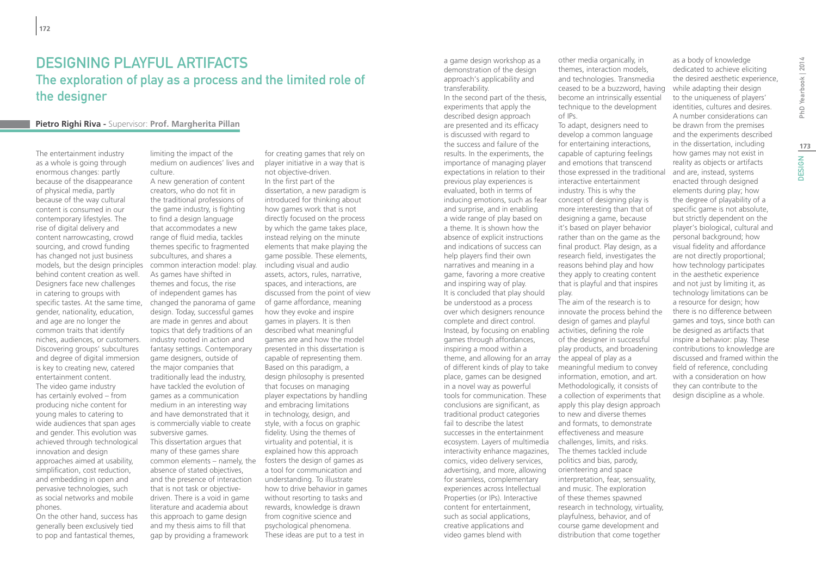### Designing Playful Artifacts The exploration of play as a process and the limited role of the designer

#### **Pietro Righi Riva -** Supervisor: **Prof. Margherita Pillan**

The entertainment industry as a whole is going through enormous changes: partly because of the disappearance of physical media, partly because of the way cultural content is consumed in our contemporary lifestyles. The rise of digital delivery and content narrowcasting, crowd sourcing, and crowd funding has changed not just business models, but the design principles behind content creation as well. Designers face new challenges in catering to groups with specific tastes. At the same time, gender, nationality, education, and age are no longer the common traits that identify niches, audiences, or customers. Discovering groups' subcultures and degree of digital immersion is key to creating new, catered entertainment content. The video game industry has certainly evolved – from producing niche content for young males to catering to wide audiences that span ages and gender. This evolution was achieved through technological innovation and design approaches aimed at usability, simplification, cost reduction, and embedding in open and pervasive technologies, such as social networks and mobile phones.

On the other hand, success has generally been exclusively tied to pop and fantastical themes,

limiting the impact of the medium on audiences' lives and culture. A new generation of content

creators, who do not fit in the traditional professions of the game industry, is fighting to find a design language that accommodates a new range of fluid media, tackles themes specific to fragmented subcultures, and shares a common interaction model: play. As games have shifted in themes and focus, the rise of independent games has changed the panorama of game design. Today, successful games are made in genres and about topics that defy traditions of an industry rooted in action and fantasy settings. Contemporary game designers, outside of the major companies that traditionally lead the industry, have tackled the evolution of games as a communication medium in an interesting way and have demonstrated that it is commercially viable to create subversive games. This dissertation argues that many of these games share common elements – namely, the absence of stated objectives, and the presence of interaction that is not task or objectivedriven. There is a void in game

literature and academia about this approach to game design and my thesis aims to fill that gap by providing a framework

for creating games that rely on player initiative in a way that is not objective-driven. In the first part of the dissertation, a new paradigm is introduced for thinking about how games work that is not directly focused on the process by which the game takes place, instead relying on the minute elements that make playing the game possible. These elements, including visual and audio assets, actors, rules, narrative, spaces, and interactions, are discussed from the point of view of game affordance, meaning how they evoke and inspire games in players. It is then described what meaningful games are and how the model presented in this dissertation is capable of representing them. Based on this paradigm, a design philosophy is presented that focuses on managing player expectations by handling and embracing limitations in technology, design, and style, with a focus on graphic fidelity. Using the themes of virtuality and potential, it is explained how this approach fosters the design of games as a tool for communication and understanding. To illustrate how to drive behavior in games without resorting to tasks and rewards, knowledge is drawn from cognitive science and psychological phenomena. These ideas are put to a test in

a game design workshop as a demonstration of the design approach's applicability and transferability.

In the second part of the thesis, experiments that apply the described design approach are presented and its efficacy is discussed with regard to the success and failure of the results. In the experiments, the importance of managing player expectations in relation to their previous play experiences is evaluated, both in terms of inducing emotions, such as fear and surprise, and in enabling a wide range of play based on a theme. It is shown how the absence of explicit instructions and indications of success can help players find their own narratives and meaning in a game, favoring a more creative and inspiring way of play. It is concluded that play should be understood as a process over which designers renounce complete and direct control. Instead, by focusing on enabling activities, defining the role games through affordances, inspiring a mood within a theme, and allowing for an array the appeal of play as a of different kinds of play to take place, games can be designed in a novel way as powerful tools for communication. These conclusions are significant, as traditional product categories fail to describe the latest successes in the entertainment ecosystem. Layers of multimedia interactivity enhance magazines, comics, video delivery services, advertising, and more, allowing for seamless, complementary experiences across Intellectual Properties (or IPs). Interactive content for entertainment, such as social applications, creative applications and video games blend with

other media organically, in themes, interaction models, and technologies. Transmedia ceased to be a buzzword, having become an intrinsically essential technique to the development of IPs.

To adapt, designers need to develop a common language for entertaining interactions, capable of capturing feelings and emotions that transcend those expressed in the traditional interactive entertainment industry. This is why the concept of designing play is more interesting than that of designing a game, because it's based on player behavior rather than on the game as the final product. Play design, as a research field, investigates the reasons behind play and how they apply to creating content that is playful and that inspires play.

The aim of the research is to innovate the process behind the design of games and playful of the designer in successful play products, and broadening meaningful medium to convey information, emotion, and art. Methodologically, it consists of a collection of experiments that apply this play design approach to new and diverse themes and formats, to demonstrate effectiveness and measure challenges, limits, and risks. The themes tackled include politics and bias, parody, orienteering and space interpretation, fear, sensuality, and music. The exploration of these themes spawned research in technology, virtuality, playfulness, behavior, and of course game development and distribution that come together

dedicated to achieve eliciting the desired aesthetic experience, while adapting their design to the uniqueness of players' identities, cultures and desires. A number considerations can be drawn from the premises and the experiments described in the dissertation, including how games may not exist in reality as objects or artifacts and are, instead, systems enacted through designed elements during play; how the degree of playability of a specific game is not absolute, but strictly dependent on the player's biological, cultural and personal background; how visual fidelity and affordance are not directly proportional; how technology participates in the aesthetic experience and not just by limiting it, as technology limitations can be a resource for design; how there is no difference between games and toys, since both can be designed as artifacts that inspire a behavior: play. These contributions to knowledge are discussed and framed within the field of reference, concluding with a consideration on how they can contribute to the design discipline as a whole.

as a body of knowledge

**173**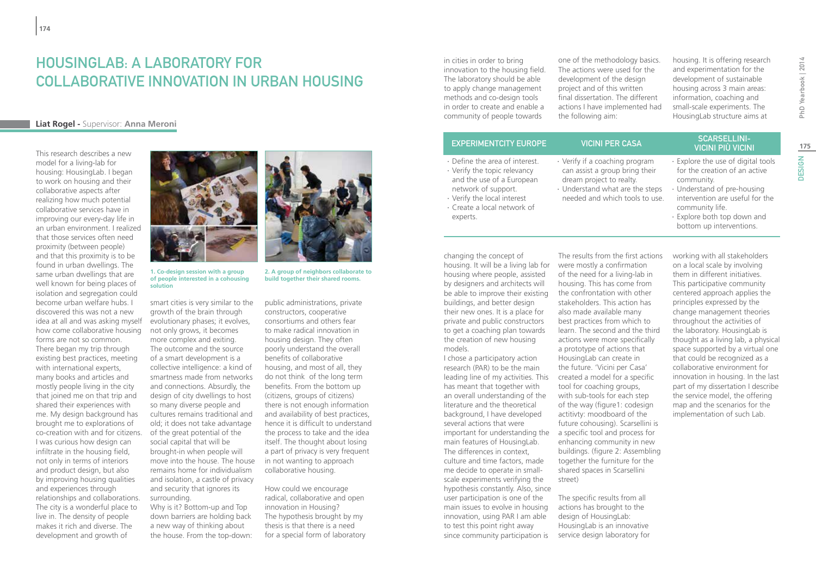### HOUSINGLAB: A LABORATORY FOR collaborative innovation in urban housing

#### **Liat Rogel -** Supervisor: **Anna Meroni**

This research describes a new model for a living-lab for housing: HousingLab. I began to work on housing and their collaborative aspects after realizing how much potential collaborative services have in improving our every-day life in an urban environment. I realized that those services often need proximity (between people) and that this proximity is to be found in urban dwellings. The same urban dwellings that are well known for being places of isolation and segregation could become urban welfare hubs. I discovered this was not a new idea at all and was asking myself how come collaborative housing forms are not so common. There began my trip through existing best practices, meeting with international experts, many books and articles and mostly people living in the city that joined me on that trip and shared their experiences with me. My design background has brought me to explorations of co-creation with and for citizens. I was curious how design can infiltrate in the housing field, not only in terms of interiors and product design, but also by improving housing qualities and experiences through relationships and collaborations. The city is a wonderful place to live in. The density of people makes it rich and diverse. The development and growth of



**1. Co-design session with a group of people interested in a cohousing solution**

smart cities is very similar to the growth of the brain through evolutionary phases; it evolves, not only grows, it becomes more complex and exiting. The outcome and the source of a smart development is a collective intelligence: a kind of smartness made from networks and connections. Absurdly, the design of city dwellings to host so many diverse people and cultures remains traditional and old; it does not take advantage of the great potential of the social capital that will be brought-in when people will move into the house. The house remains home for individualism and isolation, a castle of privacy and security that ignores its surrounding.

Why is it? Bottom-up and Top down barriers are holding back a new way of thinking about the house. From the top-down:



**2. A group of neighbors collaborate to build together their shared rooms.**

public administrations, private constructors, cooperative consortiums and others fear to make radical innovation in housing design. They often poorly understand the overall benefits of collaborative housing, and most of all, they do not think of the long term benefits. From the bottom up (citizens, groups of citizens) there is not enough information and availability of best practices, hence it is difficult to understand the process to take and the idea itself. The thought about losing a part of privacy is very frequent in not wanting to approach collaborative housing.

How could we encourage radical, collaborative and open innovation in Housing? The hypothesis brought by my thesis is that there is a need for a special form of laboratory in cities in order to bring innovation to the housing field. The laboratory should be able to apply change management methods and co-design tools in order to create and enable a community of people towards

one of the methodology basics. The actions were used for the development of the design project and of this written final dissertation. The different actions I have implemented had the following aim:

housing. It is offering research and experimentation for the development of sustainable housing across 3 main areas: information, coaching and small-scale experiments. The HousingLab structure aims at

- ∙ Define the area of interest. ∙ Verify the topic relevancy and the use of a European network of support.
- ∙ Verify the local interest ∙ Create a local network of experts.

changing the concept of housing. It will be a living lab for were mostly a confirmation housing where people, assisted by designers and architects will be able to improve their existing buildings, and better design their new ones. It is a place for private and public constructors to get a coaching plan towards the creation of new housing models.

I chose a participatory action research (PAR) to be the main leading line of my activities. This has meant that together with an overall understanding of the literature and the theoretical background, I have developed several actions that were important for understanding the main features of HousingLab. The differences in context, culture and time factors, made me decide to operate in smallscale experiments verifying the hypothesis constantly. Also, since user participation is one of the main issues to evolve in housing innovation, using PAR I am able to test this point right away since community participation is

∙ Verify if a coaching program can assist a group bring their dream project to realty.

∙ Understand what are the steps needed and which tools to use.

EXPERIMENTCITY EUROPE VICINI PER CASA SCARSELLINIvicini più vicini

> ∙ Explore the use of digital tools for the creation of an active community.

**175**

**DESIGN** 

DESIGN | ND Yearbook | 2014

PhD Yearbook | 2014

- ∙ Understand of pre-housing intervention are useful for the community life.
- ∙ Explore both top down and bottom up interventions.

The results from the first actions working with all stakeholders on a local scale by involving them in different initiatives. This participative community centered approach applies the principles expressed by the change management theories throughout the activities of the laboratory. HousingLab is thought as a living lab, a physical space supported by a virtual one that could be recognized as a collaborative environment for innovation in housing. In the last part of my dissertation I describe the service model, the offering map and the scenarios for the implementation of such Lab.

of the need for a living-lab in housing. This has come from the confrontation with other stakeholders. This action has also made available many best practices from which to learn. The second and the third actions were more specifically a prototype of actions that HousingLab can create in the future. 'Vicini per Casa' created a model for a specific tool for coaching groups, with sub-tools for each step of the way (figure1: codesign actitivty: moodboard of the future cohousing). Scarsellini is a specific tool and process for

enhancing community in new buildings. (figure 2: Assembling together the furniture for the shared spaces in Scarsellini street)

The specific results from all actions has brought to the design of HousingLab: HousingLab is an innovative service design laboratory for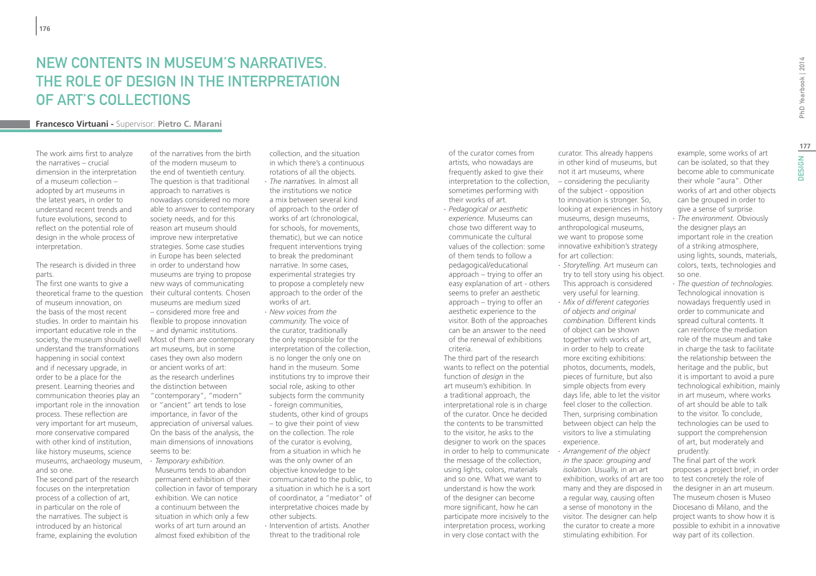### New contents in museum's narratives. The role of design in the interpretation of art's collections

#### **Francesco Virtuani -** Supervisor: **Pietro C. Marani**

The work aims first to analyze the narratives – crucial dimension in the interpretation of a museum collection – adopted by art museums in the latest years, in order to understand recent trends and future evolutions, second to reflect on the potential role of design in the whole process of interpretation.

#### The research is divided in three parts.

The first one wants to give a theoretical frame to the question of museum innovation, on the basis of the most recent studies. In order to maintain his important educative role in the society, the museum should well understand the transformations happening in social context and if necessary upgrade, in order to be a place for the present. Learning theories and communication theories play an important role in the innovation process. These reflection are very important for art museum, more conservative compared with other kind of institution, like history museums, science museums, archaeology museum, and so one.

The second part of the research focuses on the interpretation process of a collection of art, in particular on the role of the narratives. The subject is introduced by an historical frame, explaining the evolution

of the narratives from the birth of the modern museum to the end of twentieth century. The question is that traditional approach to narratives is nowadays considered no more able to answer to contemporary society needs, and for this reason art museum should improve new interpretative strategies. Some case studies in Europe has been selected in order to understand how museums are trying to propose new ways of communicating their cultural contents. Chosen museums are medium sized – considered more free and flexible to propose innovation – and dynamic institutions. Most of them are contemporary art museums, but in some cases they own also modern or ancient works of art: as the research underlines the distinction between "contemporary", "modern" or "ancient" art tends to lose importance, in favor of the appreciation of universal values. On the basis of the analysis, the main dimensions of innovations seems to be: ∙ *Temporary exhibition.* Museums tends to abandon permanent exhibition of their collection in favor of temporary

exhibition. We can notice a continuum between the situation in which only a few works of art turn around an almost fixed exhibition of the

collection, and the situation in which there's a continuous rotations of all the objects. ∙ *The narratives.* In almost all the institutions we notice a mix between several kind of approach to the order of works of art (chronological, for schools, for movements, thematic), but we can notice frequent interventions trying to break the predominant narrative. In some cases, experimental strategies try to propose a completely new approach to the order of the

works of art. ∙ *New voices from the community.* The voice of the curator, traditionally the only responsible for the interpretation of the collection, is no longer the only one on hand in the museum. Some institutions try to improve their social role, asking to other subjects form the community - foreign communities, students, other kind of groups – to give their point of view on the collection. The role of the curator is evolving, from a situation in which he was the only owner of an objective knowledge to be communicated to the public, to a situation in which he is a sort of coordinator, a "mediator" of interpretative choices made by other subjects.

∙ Intervention of artists. Another threat to the traditional role

of the curator comes from artists, who nowadays are frequently asked to give their interpretation to the collection, sometimes performing with their works of art.

∙ *Pedagogical or aesthetic experience.* Museums can chose two different way to communicate the cultural values of the collection: some of them tends to follow a pedagogical/educational approach – trying to offer an easy explanation of art - others seems to prefer an aesthetic approach – trying to offer an aesthetic experience to the visitor. Both of the approaches can be an answer to the need of the renewal of exhibitions criteria.

The third part of the research wants to reflect on the potential function of *design* in the art museum's exhibition. In a traditional approach, the interpretational role is in charge of the curator. Once he decided the contents to be transmitted to the visitor, he asks to the designer to work on the spaces in order to help to communicate the message of the collection, using lights, colors, materials and so one. What we want to understand is how the work of the designer can become more significant, how he can participate more incisively to the interpretation process, working in very close contact with the

curator. This already happens in other kind of museums, but not it art museums, where – considering the peculiarity of the subject - opposition to innovation is stronger. So, looking at experiences in history museums, design museums, anthropological museums, we want to propose some innovative exhibition's strategy for art collection:

- ∙ *Storytelling.* Art museum can try to tell story using his object. This approach is considered very useful for learning.
- ∙ *Mix of different categories of objects and original combination.* Different kinds of object can be shown together with works of art, in order to help to create more exciting exhibitions: photos, documents, models, pieces of furniture, but also simple objects from every days life, able to let the visitor feel closer to the collection. Then, surprising combination between object can help the visitors to live a stimulating experience.
- ∙ *Arrangement of the object in the space: grouping and isolation.* Usually, in an art exhibition, works of art are too many and they are disposed in a regular way, causing often a sense of monotony in the visitor. The designer can help the curator to create a more stimulating exhibition. For

example, some works of art can be isolated, so that they become able to communicate their whole "aura". Other works of art and other objects can be grouped in order to give a sense of surprise.

- ∙ *The environment.* Obviously the designer plays an important role in the creation of a striking atmosphere, using lights, sounds, materials, colors, texts, technologies and so one.
- ∙ *The question of technologies.* Technological innovation is nowadays frequently used in order to communicate and spread cultural contents. It can reinforce the mediation role of the museum and take in charge the task to facilitate the relationship between the heritage and the public, but it is important to avoid a pure technological exhibition, mainly in art museum, where works of art should be able to talk to the visitor. To conclude, technologies can be used to support the comprehension of art, but moderately and prudently. The final part of the work

proposes a project brief, in order to test concretely the role of the designer in an art museum. The museum chosen is Museo Diocesano di Milano, and the project wants to show how it is possible to exhibit in a innovative way part of its collection.